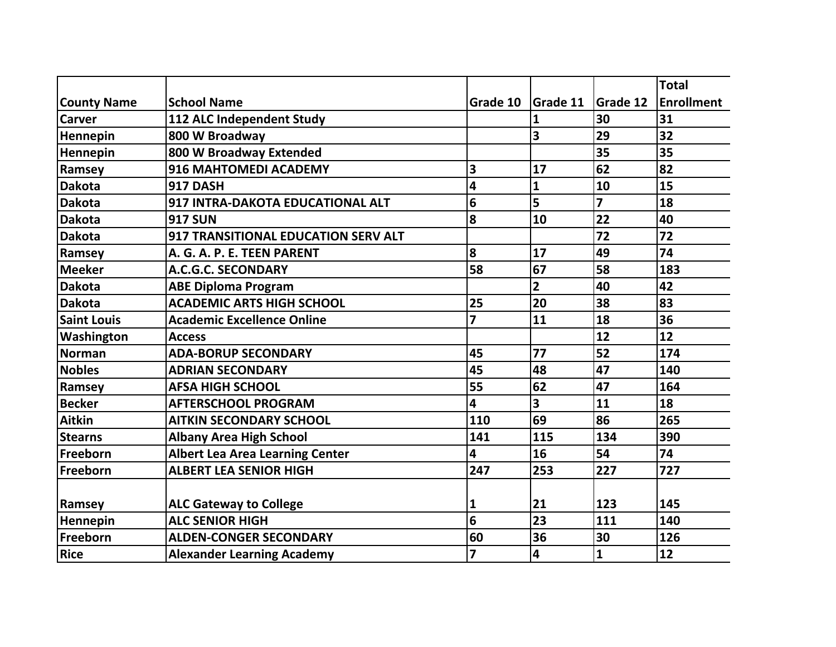|                    |                                        |                         |                 |                 | <b>Total</b>      |
|--------------------|----------------------------------------|-------------------------|-----------------|-----------------|-------------------|
| <b>County Name</b> | <b>School Name</b>                     | Grade 10                | <b>Grade 11</b> | <b>Grade 12</b> | <b>Enrollment</b> |
| <b>Carver</b>      | 112 ALC Independent Study              |                         | $\mathbf{1}$    | 30              | 31                |
| Hennepin           | 800 W Broadway                         |                         | 3               | 29              | 32                |
| Hennepin           | 800 W Broadway Extended                |                         |                 | 35              | 35                |
| Ramsey             | 916 MAHTOMEDI ACADEMY                  | 3                       | 17              | 62              | 82                |
| <b>Dakota</b>      | 917 DASH                               | 4                       | $\mathbf{1}$    | 10              | 15                |
| <b>Dakota</b>      | 917 INTRA-DAKOTA EDUCATIONAL ALT       | 6                       | 5               | $\overline{7}$  | 18                |
| <b>Dakota</b>      | <b>917 SUN</b>                         | 8                       | 10              | 22              | 40                |
| <b>Dakota</b>      | 917 TRANSITIONAL EDUCATION SERV ALT    |                         |                 | 72              | 72                |
| Ramsey             | A. G. A. P. E. TEEN PARENT             | 8                       | 17              | 49              | 74                |
| <b>Meeker</b>      | A.C.G.C. SECONDARY                     | 58                      | 67              | 58              | 183               |
| <b>Dakota</b>      | <b>ABE Diploma Program</b>             |                         | $\overline{2}$  | 40              | 42                |
| <b>Dakota</b>      | <b>ACADEMIC ARTS HIGH SCHOOL</b>       | 25                      | 20              | 38              | 83                |
| <b>Saint Louis</b> | <b>Academic Excellence Online</b>      | $\overline{z}$          | 11              | 18              | 36                |
| Washington         | <b>Access</b>                          |                         |                 | 12              | 12                |
| <b>Norman</b>      | <b>ADA-BORUP SECONDARY</b>             | 45                      | 77              | 52              | 174               |
| <b>Nobles</b>      | <b>ADRIAN SECONDARY</b>                | 45                      | 48              | 47              | 140               |
| Ramsey             | <b>AFSA HIGH SCHOOL</b>                | 55                      | 62              | 47              | 164               |
| <b>Becker</b>      | <b>AFTERSCHOOL PROGRAM</b>             | 4                       | 3               | 11              | 18                |
| <b>Aitkin</b>      | <b>AITKIN SECONDARY SCHOOL</b>         | 110                     | 69              | 86              | 265               |
| <b>Stearns</b>     | <b>Albany Area High School</b>         | 141                     | 115             | 134             | 390               |
| Freeborn           | <b>Albert Lea Area Learning Center</b> | $\overline{\mathbf{4}}$ | 16              | 54              | 74                |
| Freeborn           | <b>ALBERT LEA SENIOR HIGH</b>          | 247                     | 253             | 227             | 727               |
|                    |                                        |                         |                 |                 |                   |
| Ramsey             | <b>ALC Gateway to College</b>          | 1                       | 21              | 123             | 145               |
| Hennepin           | <b>ALC SENIOR HIGH</b>                 | 6                       | 23              | 111             | 140               |
| Freeborn           | <b>ALDEN-CONGER SECONDARY</b>          | 60                      | 36              | 30              | 126               |
| Rice               | <b>Alexander Learning Academy</b>      | $\overline{7}$          | 4               | $\mathbf{1}$    | 12                |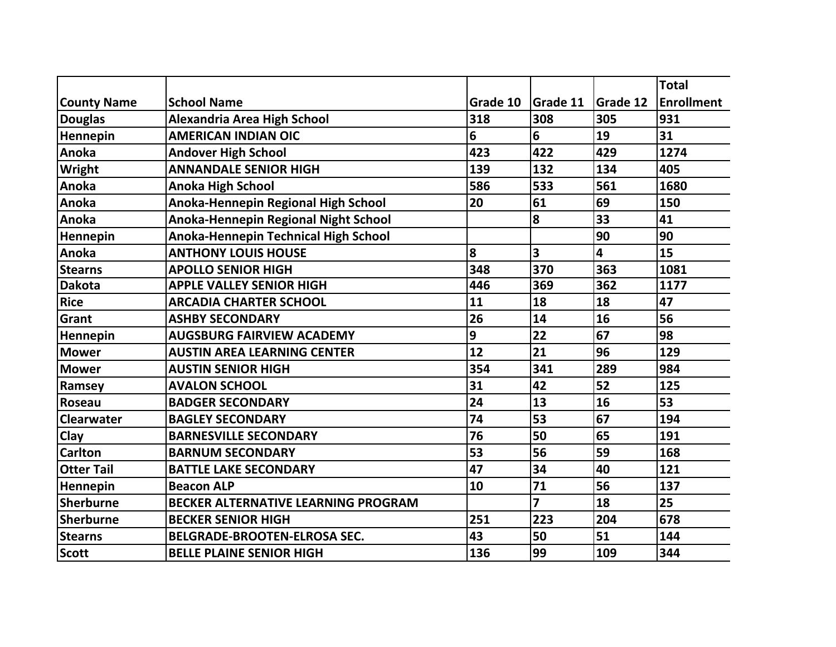|                    |                                             |          |          |                 | <b>Total</b>      |
|--------------------|---------------------------------------------|----------|----------|-----------------|-------------------|
| <b>County Name</b> | <b>School Name</b>                          | Grade 10 | Grade 11 | <b>Grade 12</b> | <b>Enrollment</b> |
| <b>Douglas</b>     | <b>Alexandria Area High School</b>          | 318      | 308      | 305             | 931               |
| Hennepin           | <b>AMERICAN INDIAN OIC</b>                  | 6        | 6        | 19              | 31                |
| Anoka              | <b>Andover High School</b>                  | 423      | 422      | 429             | 1274              |
| Wright             | <b>ANNANDALE SENIOR HIGH</b>                | 139      | 132      | 134             | 405               |
| Anoka              | <b>Anoka High School</b>                    | 586      | 533      | 561             | 1680              |
| Anoka              | Anoka-Hennepin Regional High School         | 20       | 61       | 69              | 150               |
| Anoka              | <b>Anoka-Hennepin Regional Night School</b> |          | 8        | 33              | 41                |
| Hennepin           | Anoka-Hennepin Technical High School        |          |          | 90              | 90                |
| Anoka              | <b>ANTHONY LOUIS HOUSE</b>                  | 8        | 3        | 4               | 15                |
| <b>Stearns</b>     | <b>APOLLO SENIOR HIGH</b>                   | 348      | 370      | 363             | 1081              |
| <b>Dakota</b>      | <b>APPLE VALLEY SENIOR HIGH</b>             | 446      | 369      | 362             | 1177              |
| <b>Rice</b>        | <b>ARCADIA CHARTER SCHOOL</b>               | 11       | 18       | 18              | 47                |
| <b>Grant</b>       | <b>ASHBY SECONDARY</b>                      | 26       | 14       | 16              | 56                |
| Hennepin           | <b>AUGSBURG FAIRVIEW ACADEMY</b>            | 9        | 22       | 67              | 98                |
| <b>Mower</b>       | <b>AUSTIN AREA LEARNING CENTER</b>          | 12       | 21       | 96              | 129               |
| <b>Mower</b>       | <b>AUSTIN SENIOR HIGH</b>                   | 354      | 341      | 289             | 984               |
| Ramsey             | <b>AVALON SCHOOL</b>                        | 31       | 42       | 52              | 125               |
| Roseau             | <b>BADGER SECONDARY</b>                     | 24       | 13       | 16              | 53                |
| <b>Clearwater</b>  | <b>BAGLEY SECONDARY</b>                     | 74       | 53       | 67              | 194               |
| Clay               | <b>BARNESVILLE SECONDARY</b>                | 76       | 50       | 65              | 191               |
| <b>Carlton</b>     | <b>BARNUM SECONDARY</b>                     | 53       | 56       | 59              | 168               |
| <b>Otter Tail</b>  | <b>BATTLE LAKE SECONDARY</b>                | 47       | 34       | 40              | 121               |
| Hennepin           | <b>Beacon ALP</b>                           | 10       | 71       | 56              | 137               |
| <b>Sherburne</b>   | BECKER ALTERNATIVE LEARNING PROGRAM         |          | 7        | 18              | 25                |
| <b>Sherburne</b>   | <b>BECKER SENIOR HIGH</b>                   | 251      | 223      | 204             | 678               |
| <b>Stearns</b>     | <b>BELGRADE-BROOTEN-ELROSA SEC.</b>         | 43       | 50       | 51              | 144               |
| <b>Scott</b>       | <b>BELLE PLAINE SENIOR HIGH</b>             | 136      | 99       | 109             | 344               |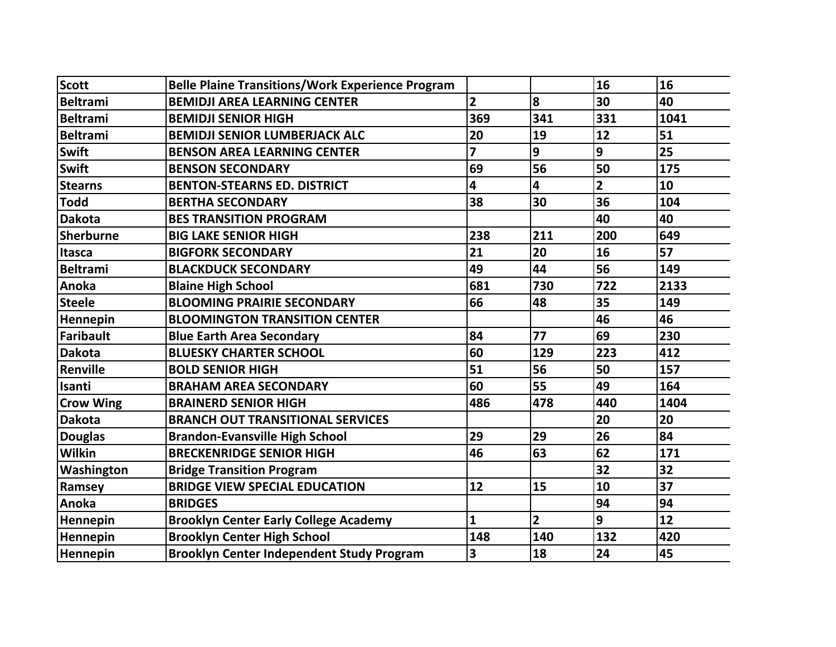| <b>Scott</b>     | <b>Belle Plaine Transitions/Work Experience Program</b> |                |                | 16             | 16   |
|------------------|---------------------------------------------------------|----------------|----------------|----------------|------|
| <b>Beltrami</b>  | <b>BEMIDJI AREA LEARNING CENTER</b>                     | $\overline{2}$ | 8              | 30             | 40   |
| Beltrami         | <b>BEMIDJI SENIOR HIGH</b>                              | 369            | 341            | 331            | 1041 |
| <b>Beltrami</b>  | <b>BEMIDJI SENIOR LUMBERJACK ALC</b>                    | 20             | 19             | 12             | 51   |
| Swift            | <b>BENSON AREA LEARNING CENTER</b>                      | $\overline{z}$ | 9              | 9              | 25   |
| Swift            | <b>BENSON SECONDARY</b>                                 | 69             | 56             | 50             | 175  |
| <b>Stearns</b>   | <b>BENTON-STEARNS ED. DISTRICT</b>                      | 4              | 4              | $\overline{2}$ | 10   |
| <b>Todd</b>      | <b>BERTHA SECONDARY</b>                                 | 38             | 30             | 36             | 104  |
| <b>Dakota</b>    | <b>BES TRANSITION PROGRAM</b>                           |                |                | 40             | 40   |
| Sherburne        | <b>BIG LAKE SENIOR HIGH</b>                             | 238            | 211            | 200            | 649  |
| Itasca           | <b>BIGFORK SECONDARY</b>                                | 21             | 20             | 16             | 57   |
| <b>Beltrami</b>  | <b>BLACKDUCK SECONDARY</b>                              | 49             | 44             | 56             | 149  |
| Anoka            | <b>Blaine High School</b>                               | 681            | 730            | 722            | 2133 |
| <b>Steele</b>    | <b>BLOOMING PRAIRIE SECONDARY</b>                       | 66             | 48             | 35             | 149  |
| Hennepin         | <b>BLOOMINGTON TRANSITION CENTER</b>                    |                |                | 46             | 46   |
| Faribault        | <b>Blue Earth Area Secondary</b>                        | 84             | 77             | 69             | 230  |
| <b>Dakota</b>    | <b>BLUESKY CHARTER SCHOOL</b>                           | 60             | 129            | 223            | 412  |
| Renville         | <b>BOLD SENIOR HIGH</b>                                 | 51             | 56             | 50             | 157  |
| Isanti           | <b>BRAHAM AREA SECONDARY</b>                            | 60             | 55             | 49             | 164  |
| <b>Crow Wing</b> | <b>BRAINERD SENIOR HIGH</b>                             | 486            | 478            | 440            | 1404 |
| <b>Dakota</b>    | <b>BRANCH OUT TRANSITIONAL SERVICES</b>                 |                |                | 20             | 20   |
| <b>Douglas</b>   | <b>Brandon-Evansville High School</b>                   | 29             | 29             | 26             | 84   |
| <b>Wilkin</b>    | <b>BRECKENRIDGE SENIOR HIGH</b>                         | 46             | 63             | 62             | 171  |
| Washington       | <b>Bridge Transition Program</b>                        |                |                | 32             | 32   |
| Ramsey           | <b>BRIDGE VIEW SPECIAL EDUCATION</b>                    | 12             | 15             | 10             | 37   |
| Anoka            | <b>BRIDGES</b>                                          |                |                | 94             | 94   |
| Hennepin         | <b>Brooklyn Center Early College Academy</b>            | $\mathbf{1}$   | $\overline{2}$ | 9              | 12   |
| Hennepin         | <b>Brooklyn Center High School</b>                      | 148            | 140            | 132            | 420  |
| Hennepin         | <b>Brooklyn Center Independent Study Program</b>        | 3              | 18             | 24             | 45   |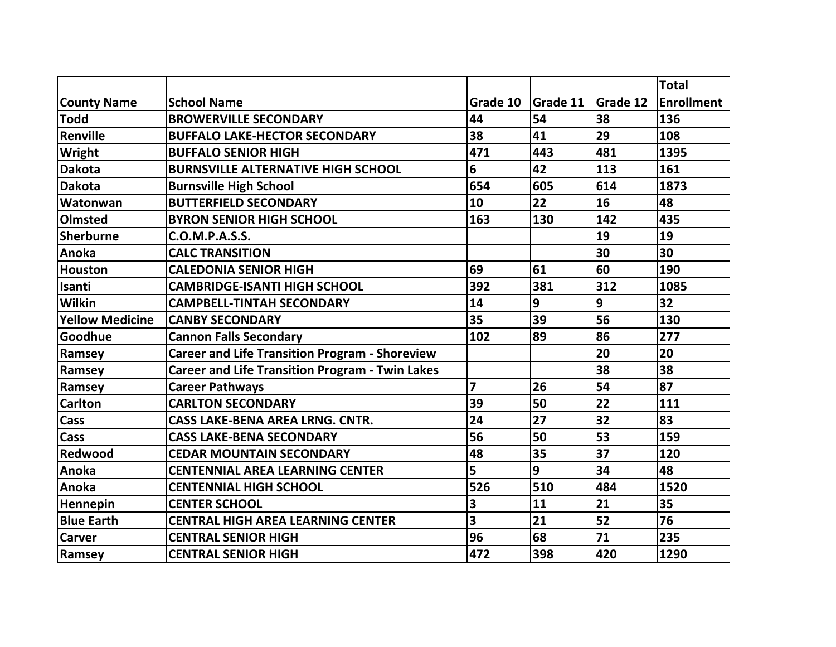|                    |                                                        |                         |                 |                 | <b>Total</b> |
|--------------------|--------------------------------------------------------|-------------------------|-----------------|-----------------|--------------|
| <b>County Name</b> | <b>School Name</b>                                     | Grade 10                | <b>Grade 11</b> | <b>Grade 12</b> | Enrollment   |
| Todd               | <b>BROWERVILLE SECONDARY</b>                           | 44                      | 54              | 38              | 136          |
| Renville           | <b>BUFFALO LAKE-HECTOR SECONDARY</b>                   | 38                      | 41              | 29              | 108          |
| Wright             | <b>BUFFALO SENIOR HIGH</b>                             | 471                     | 443             | 481             | 1395         |
| Dakota             | <b>BURNSVILLE ALTERNATIVE HIGH SCHOOL</b>              | 6                       | 42              | 113             | 161          |
| <b>Dakota</b>      | <b>Burnsville High School</b>                          | 654                     | 605             | 614             | 1873         |
| Watonwan           | <b>BUTTERFIELD SECONDARY</b>                           | 10                      | 22              | 16              | 48           |
| <b>Olmsted</b>     | <b>BYRON SENIOR HIGH SCHOOL</b>                        | 163                     | 130             | 142             | 435          |
| Sherburne          | C.O.M.P.A.S.S.                                         |                         |                 | 19              | 19           |
| Anoka              | <b>CALC TRANSITION</b>                                 |                         |                 | 30              | 30           |
| Houston            | <b>CALEDONIA SENIOR HIGH</b>                           | 69                      | 61              | 60              | 190          |
| Isanti             | <b>CAMBRIDGE-ISANTI HIGH SCHOOL</b>                    | 392                     | 381             | 312             | 1085         |
| Wilkin             | <b>CAMPBELL-TINTAH SECONDARY</b>                       | 14                      | 9               | 9               | 32           |
| Yellow Medicine    | <b>CANBY SECONDARY</b>                                 | 35                      | 39              | 56              | 130          |
| Goodhue            | <b>Cannon Falls Secondary</b>                          | 102                     | 89              | 86              | 277          |
| Ramsey             | <b>Career and Life Transition Program - Shoreview</b>  |                         |                 | 20              | 20           |
| Ramsey             | <b>Career and Life Transition Program - Twin Lakes</b> |                         |                 | 38              | 38           |
| Ramsey             | <b>Career Pathways</b>                                 | 7                       | 26              | 54              | 87           |
| <b>Carlton</b>     | <b>CARLTON SECONDARY</b>                               | 39                      | 50              | 22              | 111          |
| <b>Cass</b>        | <b>CASS LAKE-BENA AREA LRNG. CNTR.</b>                 | 24                      | 27              | 32              | 83           |
| Cass               | <b>CASS LAKE-BENA SECONDARY</b>                        | 56                      | 50              | 53              | 159          |
| Redwood            | <b>CEDAR MOUNTAIN SECONDARY</b>                        | 48                      | 35              | 37              | 120          |
| Anoka              | <b>CENTENNIAL AREA LEARNING CENTER</b>                 | 5                       | 9               | 34              | 48           |
| Anoka              | <b>CENTENNIAL HIGH SCHOOL</b>                          | 526                     | 510             | 484             | 1520         |
| Hennepin           | <b>CENTER SCHOOL</b>                                   | 3                       | 11              | 21              | 35           |
| <b>Blue Earth</b>  | <b>CENTRAL HIGH AREA LEARNING CENTER</b>               | $\overline{\mathbf{3}}$ | 21              | 52              | 76           |
| <b>Carver</b>      | <b>CENTRAL SENIOR HIGH</b>                             | 96                      | 68              | 71              | 235          |
| Ramsey             | <b>CENTRAL SENIOR HIGH</b>                             | 472                     | 398             | 420             | 1290         |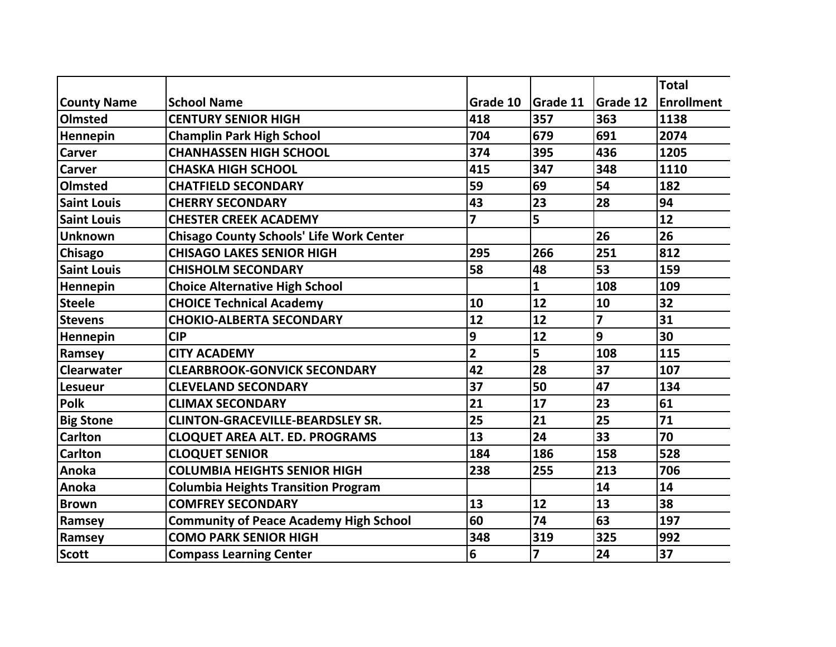|                    |                                                 |                |          |                 | <b>Total</b>      |
|--------------------|-------------------------------------------------|----------------|----------|-----------------|-------------------|
| <b>County Name</b> | <b>School Name</b>                              | Grade 10       | Grade 11 | <b>Grade 12</b> | <b>Enrollment</b> |
| Olmsted            | <b>CENTURY SENIOR HIGH</b>                      | 418            | 357      | 363             | 1138              |
| Hennepin           | <b>Champlin Park High School</b>                | 704            | 679      | 691             | 2074              |
| <b>Carver</b>      | <b>CHANHASSEN HIGH SCHOOL</b>                   | 374            | 395      | 436             | 1205              |
| <b>Carver</b>      | <b>CHASKA HIGH SCHOOL</b>                       | 415            | 347      | 348             | 1110              |
| Olmsted            | <b>CHATFIELD SECONDARY</b>                      | 59             | 69       | 54              | 182               |
| <b>Saint Louis</b> | <b>CHERRY SECONDARY</b>                         | 43             | 23       | 28              | 94                |
| <b>Saint Louis</b> | <b>CHESTER CREEK ACADEMY</b>                    | $\overline{z}$ | 5        |                 | 12                |
| <b>Unknown</b>     | <b>Chisago County Schools' Life Work Center</b> |                |          | 26              | 26                |
| <b>Chisago</b>     | <b>CHISAGO LAKES SENIOR HIGH</b>                | 295            | 266      | 251             | 812               |
| <b>Saint Louis</b> | <b>CHISHOLM SECONDARY</b>                       | 58             | 48       | 53              | 159               |
| Hennepin           | <b>Choice Alternative High School</b>           |                | 1        | 108             | 109               |
| <b>Steele</b>      | <b>CHOICE Technical Academy</b>                 | 10             | 12       | 10              | 32                |
| <b>Stevens</b>     | <b>CHOKIO-ALBERTA SECONDARY</b>                 | 12             | 12       | $\overline{z}$  | 31                |
| Hennepin           | <b>CIP</b>                                      | 9              | 12       | 9               | 30                |
| Ramsey             | <b>CITY ACADEMY</b>                             | $\overline{2}$ | 5        | 108             | 115               |
| <b>Clearwater</b>  | <b>CLEARBROOK-GONVICK SECONDARY</b>             | 42             | 28       | 37              | 107               |
| <b>Lesueur</b>     | <b>CLEVELAND SECONDARY</b>                      | 37             | 50       | 47              | 134               |
| <b>Polk</b>        | <b>CLIMAX SECONDARY</b>                         | 21             | 17       | 23              | 61                |
| <b>Big Stone</b>   | <b>CLINTON-GRACEVILLE-BEARDSLEY SR.</b>         | 25             | 21       | 25              | 71                |
| <b>Carlton</b>     | <b>CLOQUET AREA ALT. ED. PROGRAMS</b>           | 13             | 24       | 33              | 70                |
| <b>Carlton</b>     | <b>CLOQUET SENIOR</b>                           | 184            | 186      | 158             | 528               |
| Anoka              | <b>COLUMBIA HEIGHTS SENIOR HIGH</b>             | 238            | 255      | 213             | 706               |
| Anoka              | <b>Columbia Heights Transition Program</b>      |                |          | 14              | 14                |
| <b>Brown</b>       | <b>COMFREY SECONDARY</b>                        | 13             | 12       | 13              | 38                |
| Ramsey             | <b>Community of Peace Academy High School</b>   | 60             | 74       | 63              | 197               |
| Ramsey             | <b>COMO PARK SENIOR HIGH</b>                    | 348            | 319      | 325             | 992               |
| <b>Scott</b>       | <b>Compass Learning Center</b>                  | 6              | 7        | 24              | 37                |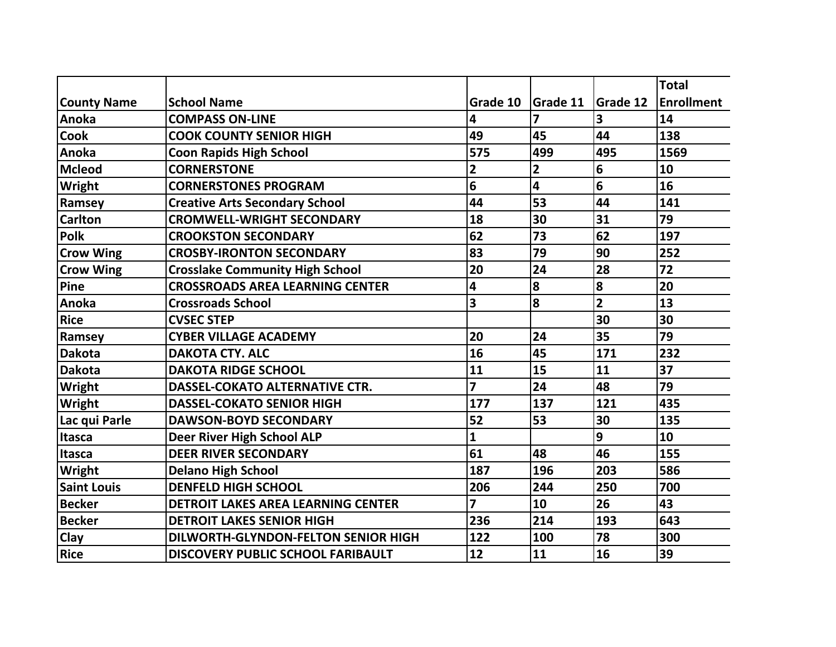|                    |                                           |                |          |                 | <b>Total</b>      |
|--------------------|-------------------------------------------|----------------|----------|-----------------|-------------------|
| <b>County Name</b> | <b>School Name</b>                        | Grade 10       | Grade 11 | <b>Grade 12</b> | <b>Enrollment</b> |
| Anoka              | <b>COMPASS ON-LINE</b>                    | 4              | 7        | 3               | 14                |
| <b>Cook</b>        | <b>COOK COUNTY SENIOR HIGH</b>            | 49             | 45       | 44              | 138               |
| Anoka              | <b>Coon Rapids High School</b>            | 575            | 499      | 495             | 1569              |
| <b>Mcleod</b>      | <b>CORNERSTONE</b>                        | 2              | 2        | 6               | 10                |
| <b>Wright</b>      | <b>CORNERSTONES PROGRAM</b>               | 6              | 4        | 6               | 16                |
| Ramsey             | <b>Creative Arts Secondary School</b>     | 44             | 53       | 44              | 141               |
| <b>Carlton</b>     | <b>CROMWELL-WRIGHT SECONDARY</b>          | 18             | 30       | 31              | 79                |
| <b>Polk</b>        | <b>CROOKSTON SECONDARY</b>                | 62             | 73       | 62              | 197               |
| <b>Crow Wing</b>   | <b>CROSBY-IRONTON SECONDARY</b>           | 83             | 79       | 90              | 252               |
| <b>Crow Wing</b>   | <b>Crosslake Community High School</b>    | 20             | 24       | 28              | 72                |
| Pine               | <b>CROSSROADS AREA LEARNING CENTER</b>    | 4              | 8        | 8               | 20                |
| Anoka              | <b>Crossroads School</b>                  | 3              | 8        | $\overline{2}$  | 13                |
| <b>Rice</b>        | <b>CVSEC STEP</b>                         |                |          | 30              | 30                |
| Ramsey             | <b>CYBER VILLAGE ACADEMY</b>              | 20             | 24       | 35              | 79                |
| <b>Dakota</b>      | <b>DAKOTA CTY. ALC</b>                    | 16             | 45       | 171             | 232               |
| <b>Dakota</b>      | <b>DAKOTA RIDGE SCHOOL</b>                | 11             | 15       | 11              | 37                |
| Wright             | <b>DASSEL-COKATO ALTERNATIVE CTR.</b>     | 7              | 24       | 48              | 79                |
| Wright             | <b>DASSEL-COKATO SENIOR HIGH</b>          | 177            | 137      | 121             | 435               |
| Lac qui Parle      | <b>DAWSON-BOYD SECONDARY</b>              | 52             | 53       | 30              | 135               |
| Itasca             | <b>Deer River High School ALP</b>         | 1              |          | 9               | 10                |
| Itasca             | <b>DEER RIVER SECONDARY</b>               | 61             | 48       | 46              | 155               |
| Wright             | <b>Delano High School</b>                 | 187            | 196      | 203             | 586               |
| <b>Saint Louis</b> | <b>DENFELD HIGH SCHOOL</b>                | 206            | 244      | 250             | 700               |
| <b>Becker</b>      | <b>DETROIT LAKES AREA LEARNING CENTER</b> | $\overline{z}$ | 10       | 26              | 43                |
| <b>Becker</b>      | <b>DETROIT LAKES SENIOR HIGH</b>          | 236            | 214      | 193             | 643               |
| Clay               | DILWORTH-GLYNDON-FELTON SENIOR HIGH       | 122            | 100      | 78              | 300               |
| <b>Rice</b>        | <b>DISCOVERY PUBLIC SCHOOL FARIBAULT</b>  | 12             | 11       | 16              | 39                |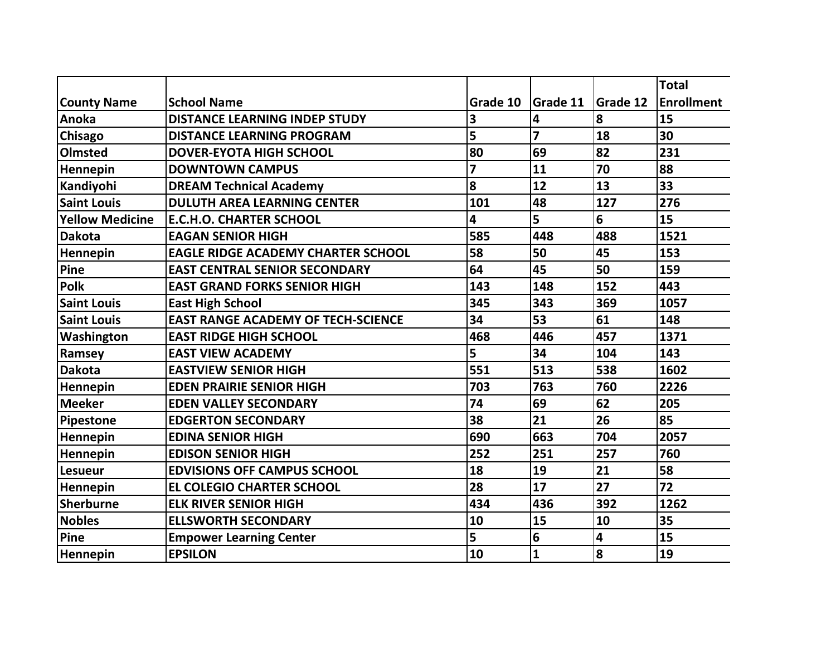|                        |                                           |          |                 |                 | <b>Total</b> |
|------------------------|-------------------------------------------|----------|-----------------|-----------------|--------------|
| <b>County Name</b>     | <b>School Name</b>                        | Grade 10 | <b>Grade 11</b> | <b>Grade 12</b> | Enrollment   |
| Anoka                  | <b>DISTANCE LEARNING INDEP STUDY</b>      | 3        | 4               | 8               | 15           |
| <b>Chisago</b>         | <b>DISTANCE LEARNING PROGRAM</b>          | 5        | 7               | 18              | 30           |
| Olmsted                | <b>DOVER-EYOTA HIGH SCHOOL</b>            | 80       | 69              | 82              | 231          |
| Hennepin               | <b>DOWNTOWN CAMPUS</b>                    | 7        | 11              | 70              | 88           |
| Kandiyohi              | <b>DREAM Technical Academy</b>            | 8        | 12              | 13              | 33           |
| <b>Saint Louis</b>     | <b>DULUTH AREA LEARNING CENTER</b>        | 101      | 48              | 127             | 276          |
| <b>Yellow Medicine</b> | <b>E.C.H.O. CHARTER SCHOOL</b>            | 4        | 5               | 6               | 15           |
| <b>Dakota</b>          | <b>EAGAN SENIOR HIGH</b>                  | 585      | 448             | 488             | 1521         |
| Hennepin               | <b>EAGLE RIDGE ACADEMY CHARTER SCHOOL</b> | 58       | 50              | 45              | 153          |
| Pine                   | <b>EAST CENTRAL SENIOR SECONDARY</b>      | 64       | 45              | 50              | 159          |
| <b>Polk</b>            | <b>EAST GRAND FORKS SENIOR HIGH</b>       | 143      | 148             | 152             | 443          |
| <b>Saint Louis</b>     | <b>East High School</b>                   | 345      | 343             | 369             | 1057         |
| <b>Saint Louis</b>     | <b>EAST RANGE ACADEMY OF TECH-SCIENCE</b> | 34       | 53              | 61              | 148          |
| Washington             | <b>EAST RIDGE HIGH SCHOOL</b>             | 468      | 446             | 457             | 1371         |
| Ramsey                 | <b>EAST VIEW ACADEMY</b>                  | 5        | 34              | 104             | 143          |
| <b>Dakota</b>          | <b>EASTVIEW SENIOR HIGH</b>               | 551      | 513             | 538             | 1602         |
| <b>Hennepin</b>        | <b>EDEN PRAIRIE SENIOR HIGH</b>           | 703      | 763             | 760             | 2226         |
| <b>Meeker</b>          | <b>EDEN VALLEY SECONDARY</b>              | 74       | 69              | 62              | 205          |
| Pipestone              | <b>EDGERTON SECONDARY</b>                 | 38       | 21              | 26              | 85           |
| <b>Hennepin</b>        | <b>EDINA SENIOR HIGH</b>                  | 690      | 663             | 704             | 2057         |
| Hennepin               | <b>EDISON SENIOR HIGH</b>                 | 252      | 251             | 257             | 760          |
| <b>Lesueur</b>         | <b>EDVISIONS OFF CAMPUS SCHOOL</b>        | 18       | 19              | 21              | 58           |
| Hennepin               | <b>EL COLEGIO CHARTER SCHOOL</b>          | 28       | 17              | 27              | 72           |
| Sherburne              | <b>ELK RIVER SENIOR HIGH</b>              | 434      | 436             | 392             | 1262         |
| <b>Nobles</b>          | <b>ELLSWORTH SECONDARY</b>                | 10       | 15              | 10              | 35           |
| Pine                   | <b>Empower Learning Center</b>            | 5        | 6               | 4               | 15           |
| Hennepin               | <b>EPSILON</b>                            | 10       | 1               | 8               | 19           |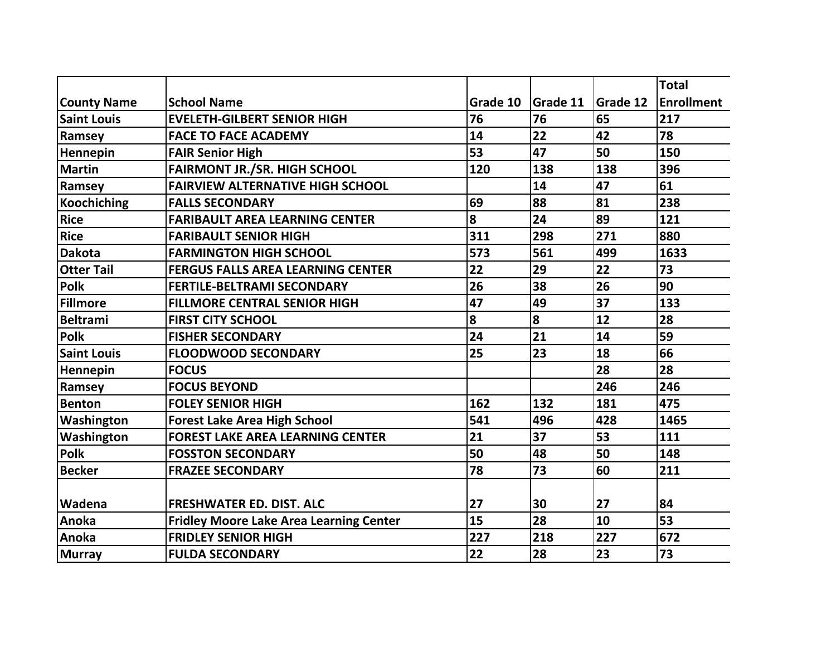|                    |                                                |          |                 |                 | <b>Total</b>      |
|--------------------|------------------------------------------------|----------|-----------------|-----------------|-------------------|
| <b>County Name</b> | <b>School Name</b>                             | Grade 10 | <b>Grade 11</b> | <b>Grade 12</b> | <b>Enrollment</b> |
| <b>Saint Louis</b> | <b>EVELETH-GILBERT SENIOR HIGH</b>             | 76       | 76              | 65              | 217               |
| Ramsey             | <b>FACE TO FACE ACADEMY</b>                    | 14       | 22              | 42              | 78                |
| Hennepin           | <b>FAIR Senior High</b>                        | 53       | 47              | 50              | 150               |
| Martin             | <b>FAIRMONT JR./SR. HIGH SCHOOL</b>            | 120      | 138             | 138             | 396               |
| Ramsey             | <b>FAIRVIEW ALTERNATIVE HIGH SCHOOL</b>        |          | 14              | 47              | 61                |
| Koochiching        | <b>FALLS SECONDARY</b>                         | 69       | 88              | 81              | 238               |
| <b>Rice</b>        | <b>FARIBAULT AREA LEARNING CENTER</b>          | 8        | 24              | 89              | 121               |
| Rice               | <b>FARIBAULT SENIOR HIGH</b>                   | 311      | 298             | 271             | 880               |
| <b>Dakota</b>      | <b>FARMINGTON HIGH SCHOOL</b>                  | 573      | 561             | 499             | 1633              |
| <b>Otter Tail</b>  | <b>FERGUS FALLS AREA LEARNING CENTER</b>       | 22       | 29              | 22              | 73                |
| Polk               | <b>FERTILE-BELTRAMI SECONDARY</b>              | 26       | 38              | 26              | 90                |
| Fillmore           | <b>FILLMORE CENTRAL SENIOR HIGH</b>            | 47       | 49              | 37              | 133               |
| Beltrami           | <b>FIRST CITY SCHOOL</b>                       | $\bf{8}$ | 8               | 12              | 28                |
| Polk               | <b>FISHER SECONDARY</b>                        | 24       | 21              | 14              | 59                |
| <b>Saint Louis</b> | <b>FLOODWOOD SECONDARY</b>                     | 25       | 23              | 18              | 66                |
| <b>Hennepin</b>    | <b>FOCUS</b>                                   |          |                 | 28              | 28                |
| Ramsey             | <b>FOCUS BEYOND</b>                            |          |                 | 246             | 246               |
| <b>Benton</b>      | <b>FOLEY SENIOR HIGH</b>                       | 162      | 132             | 181             | 475               |
| Washington         | <b>Forest Lake Area High School</b>            | 541      | 496             | 428             | 1465              |
| Washington         | <b>FOREST LAKE AREA LEARNING CENTER</b>        | 21       | 37              | 53              | 111               |
| Polk               | <b>FOSSTON SECONDARY</b>                       | 50       | 48              | 50              | 148               |
| <b>Becker</b>      | <b>FRAZEE SECONDARY</b>                        | 78       | 73              | 60              | 211               |
|                    |                                                |          |                 |                 |                   |
| <b>Wadena</b>      | <b>FRESHWATER ED. DIST. ALC</b>                | 27       | 30              | 27              | 84                |
| Anoka              | <b>Fridley Moore Lake Area Learning Center</b> | 15       | 28              | 10              | 53                |
| <b>Anoka</b>       | <b>FRIDLEY SENIOR HIGH</b>                     | 227      | 218             | 227             | 672               |
| Murray             | <b>FULDA SECONDARY</b>                         | 22       | 28              | 23              | 73                |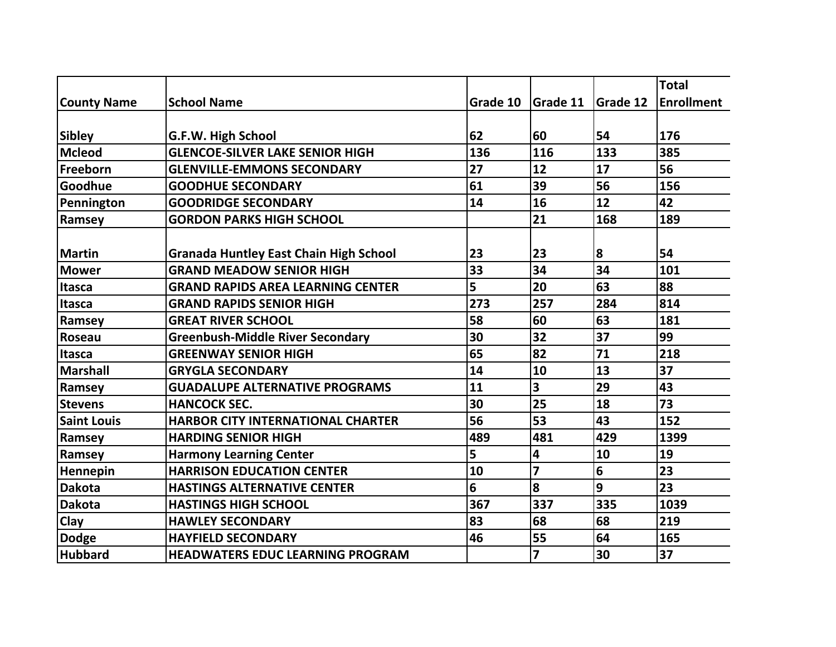|                    |                                               |          |                         |          | <b>Total</b>      |
|--------------------|-----------------------------------------------|----------|-------------------------|----------|-------------------|
| <b>County Name</b> | <b>School Name</b>                            | Grade 10 | Grade 11                | Grade 12 | <b>Enrollment</b> |
| <b>Sibley</b>      | G.F.W. High School                            | 62       | 60                      | 54       | 176               |
| <b>Mcleod</b>      | <b>GLENCOE-SILVER LAKE SENIOR HIGH</b>        | 136      | 116                     | 133      | 385               |
| Freeborn           | <b>GLENVILLE-EMMONS SECONDARY</b>             | 27       | 12                      | 17       | 56                |
| Goodhue            | <b>GOODHUE SECONDARY</b>                      | 61       | 39                      | 56       | 156               |
| Pennington         | <b>GOODRIDGE SECONDARY</b>                    | 14       | 16                      | 12       | 42                |
| Ramsey             | <b>GORDON PARKS HIGH SCHOOL</b>               |          | 21                      | 168      | 189               |
|                    |                                               |          |                         |          |                   |
| <b>Martin</b>      | <b>Granada Huntley East Chain High School</b> | 23       | 23                      | 8        | 54                |
| <b>Mower</b>       | <b>GRAND MEADOW SENIOR HIGH</b>               | 33       | 34                      | 34       | 101               |
| <b>Itasca</b>      | <b>GRAND RAPIDS AREA LEARNING CENTER</b>      | 5        | 20                      | 63       | 88                |
| <b>Itasca</b>      | <b>GRAND RAPIDS SENIOR HIGH</b>               | 273      | 257                     | 284      | 814               |
| Ramsey             | <b>GREAT RIVER SCHOOL</b>                     | 58       | 60                      | 63       | 181               |
| Roseau             | <b>Greenbush-Middle River Secondary</b>       | 30       | 32                      | 37       | 99                |
| <b>Itasca</b>      | <b>GREENWAY SENIOR HIGH</b>                   | 65       | 82                      | 71       | 218               |
| <b>Marshall</b>    | <b>GRYGLA SECONDARY</b>                       | 14       | 10                      | 13       | 37                |
| Ramsey             | <b>GUADALUPE ALTERNATIVE PROGRAMS</b>         | 11       | 3                       | 29       | 43                |
| <b>Stevens</b>     | <b>HANCOCK SEC.</b>                           | 30       | 25                      | 18       | 73                |
| <b>Saint Louis</b> | <b>HARBOR CITY INTERNATIONAL CHARTER</b>      | 56       | 53                      | 43       | 152               |
| Ramsey             | <b>HARDING SENIOR HIGH</b>                    | 489      | 481                     | 429      | 1399              |
| Ramsey             | <b>Harmony Learning Center</b>                | 5        | 4                       | 10       | 19                |
| Hennepin           | <b>HARRISON EDUCATION CENTER</b>              | 10       | $\overline{\mathbf{z}}$ | 6        | 23                |
| <b>Dakota</b>      | <b>HASTINGS ALTERNATIVE CENTER</b>            | 6        | 8                       | 9        | 23                |
| <b>Dakota</b>      | <b>HASTINGS HIGH SCHOOL</b>                   | 367      | 337                     | 335      | 1039              |
| Clay               | <b>HAWLEY SECONDARY</b>                       | 83       | 68                      | 68       | 219               |
| <b>Dodge</b>       | <b>HAYFIELD SECONDARY</b>                     | 46       | 55                      | 64       | 165               |
| <b>Hubbard</b>     | <b>HEADWATERS EDUC LEARNING PROGRAM</b>       |          | $\overline{\mathbf{z}}$ | 30       | 37                |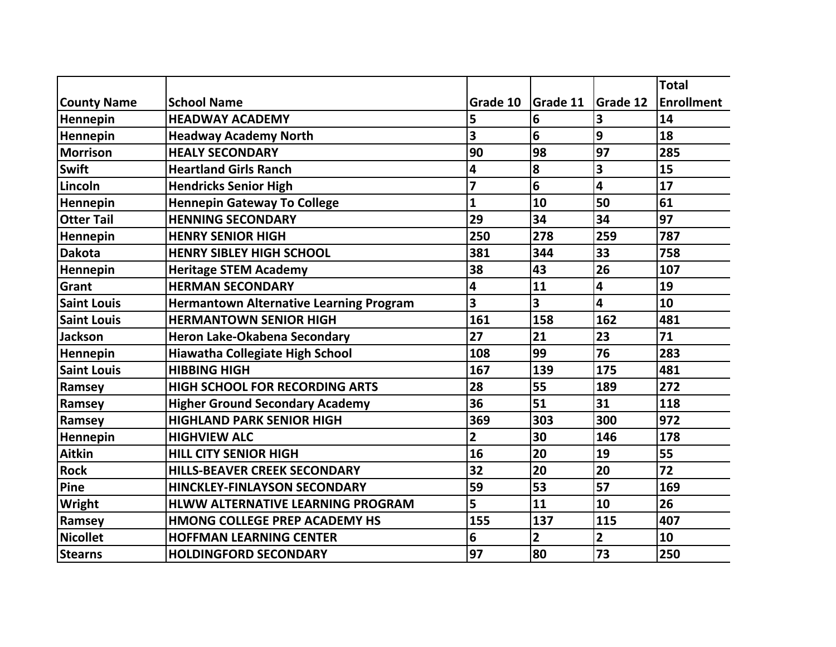|                    |                                                |                         |                 |                | <b>Total</b>      |
|--------------------|------------------------------------------------|-------------------------|-----------------|----------------|-------------------|
| <b>County Name</b> | <b>School Name</b>                             | Grade 10                | <b>Grade 11</b> | Grade 12       | <b>Enrollment</b> |
| Hennepin           | <b>HEADWAY ACADEMY</b>                         | 5                       | 6               | 3              | 14                |
| Hennepin           | <b>Headway Academy North</b>                   | 3                       | 6               | 9              | 18                |
| <b>Morrison</b>    | <b>HEALY SECONDARY</b>                         | 90                      | 98              | 97             | 285               |
| <b>Swift</b>       | <b>Heartland Girls Ranch</b>                   | 4                       | 8               | 3              | 15                |
| Lincoln            | <b>Hendricks Senior High</b>                   | $\overline{\mathbf{z}}$ | 6               | 4              | 17                |
| Hennepin           | <b>Hennepin Gateway To College</b>             | $\mathbf{1}$            | 10              | 50             | 61                |
| <b>Otter Tail</b>  | <b>HENNING SECONDARY</b>                       | 29                      | 34              | 34             | 97                |
| Hennepin           | <b>HENRY SENIOR HIGH</b>                       | 250                     | 278             | 259            | 787               |
| <b>Dakota</b>      | <b>HENRY SIBLEY HIGH SCHOOL</b>                | 381                     | 344             | 33             | 758               |
| Hennepin           | <b>Heritage STEM Academy</b>                   | 38                      | 43              | 26             | 107               |
| Grant              | <b>HERMAN SECONDARY</b>                        | 4                       | 11              | 4              | 19                |
| <b>Saint Louis</b> | <b>Hermantown Alternative Learning Program</b> | 3                       | 3               | 4              | 10                |
| <b>Saint Louis</b> | <b>HERMANTOWN SENIOR HIGH</b>                  | 161                     | 158             | 162            | 481               |
| <b>Jackson</b>     | Heron Lake-Okabena Secondary                   | 27                      | 21              | 23             | 71                |
| Hennepin           | Hiawatha Collegiate High School                | 108                     | 99              | 76             | 283               |
| <b>Saint Louis</b> | <b>HIBBING HIGH</b>                            | 167                     | 139             | 175            | 481               |
| Ramsey             | <b>HIGH SCHOOL FOR RECORDING ARTS</b>          | 28                      | 55              | 189            | 272               |
| Ramsey             | <b>Higher Ground Secondary Academy</b>         | 36                      | 51              | 31             | 118               |
| Ramsey             | <b>HIGHLAND PARK SENIOR HIGH</b>               | 369                     | 303             | 300            | 972               |
| Hennepin           | <b>HIGHVIEW ALC</b>                            | $\overline{2}$          | 30              | 146            | 178               |
| <b>Aitkin</b>      | <b>HILL CITY SENIOR HIGH</b>                   | 16                      | 20              | 19             | 55                |
| <b>Rock</b>        | <b>HILLS-BEAVER CREEK SECONDARY</b>            | 32                      | 20              | 20             | 72                |
| Pine               | <b>HINCKLEY-FINLAYSON SECONDARY</b>            | 59                      | 53              | 57             | 169               |
| <b>Wright</b>      | <b>HLWW ALTERNATIVE LEARNING PROGRAM</b>       | 5                       | 11              | 10             | 26                |
| Ramsey             | HMONG COLLEGE PREP ACADEMY HS                  | 155                     | 137             | 115            | 407               |
| <b>Nicollet</b>    | <b>HOFFMAN LEARNING CENTER</b>                 | 6                       | $\overline{2}$  | $\overline{2}$ | 10                |
| <b>Stearns</b>     | <b>HOLDINGFORD SECONDARY</b>                   | 97                      | 80              | 73             | 250               |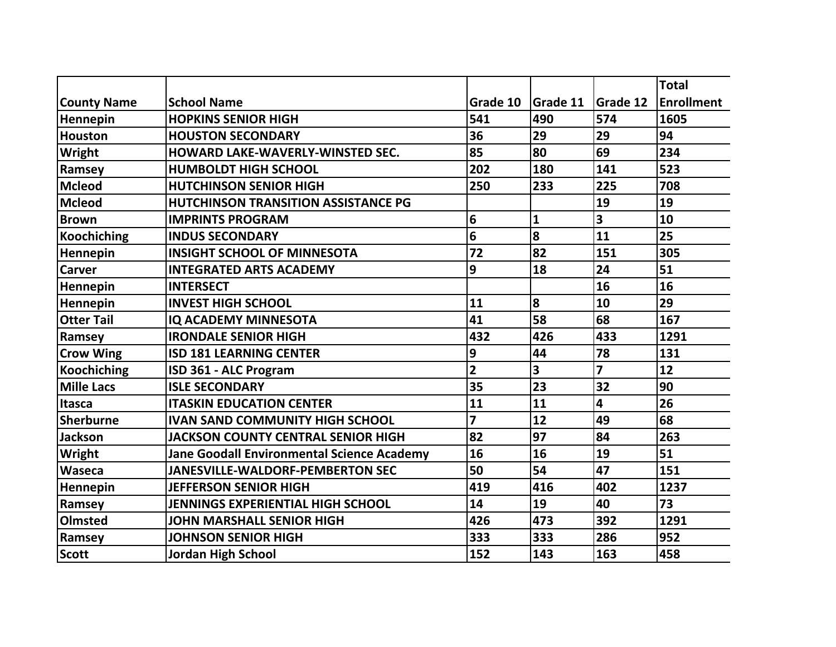|                    |                                                   |                |                 |                 | <b>Total</b>      |
|--------------------|---------------------------------------------------|----------------|-----------------|-----------------|-------------------|
| <b>County Name</b> | <b>School Name</b>                                | Grade 10       | <b>Grade 11</b> | <b>Grade 12</b> | <b>Enrollment</b> |
| Hennepin           | <b>HOPKINS SENIOR HIGH</b>                        | 541            | 490             | 574             | 1605              |
| <b>Houston</b>     | <b>HOUSTON SECONDARY</b>                          | 36             | 29              | 29              | 94                |
| Wright             | HOWARD LAKE-WAVERLY-WINSTED SEC.                  | 85             | 80              | 69              | 234               |
| Ramsey             | <b>HUMBOLDT HIGH SCHOOL</b>                       | 202            | 180             | 141             | 523               |
| <b>Mcleod</b>      | <b>HUTCHINSON SENIOR HIGH</b>                     | 250            | 233             | 225             | 708               |
| <b>Mcleod</b>      | <b>HUTCHINSON TRANSITION ASSISTANCE PG</b>        |                |                 | 19              | 19                |
| <b>Brown</b>       | <b>IMPRINTS PROGRAM</b>                           | 6              | 1               | 3               | 10                |
| <b>Koochiching</b> | <b>INDUS SECONDARY</b>                            | 6              | 8               | 11              | 25                |
| Hennepin           | <b>INSIGHT SCHOOL OF MINNESOTA</b>                | 72             | 82              | 151             | 305               |
| <b>Carver</b>      | <b>INTEGRATED ARTS ACADEMY</b>                    | 9              | 18              | 24              | 51                |
| Hennepin           | <b>INTERSECT</b>                                  |                |                 | 16              | 16                |
| Hennepin           | <b>INVEST HIGH SCHOOL</b>                         | 11             | 8               | 10              | 29                |
| <b>Otter Tail</b>  | <b>IQ ACADEMY MINNESOTA</b>                       | 41             | 58              | 68              | 167               |
| Ramsey             | <b>IRONDALE SENIOR HIGH</b>                       | 432            | 426             | 433             | 1291              |
| <b>Crow Wing</b>   | <b>ISD 181 LEARNING CENTER</b>                    | 9              | 44              | 78              | 131               |
| <b>Koochiching</b> | ISD 361 - ALC Program                             | $\overline{2}$ | 3               | $\overline{7}$  | 12                |
| <b>Mille Lacs</b>  | <b>ISLE SECONDARY</b>                             | 35             | 23              | 32              | 90                |
| <b>Itasca</b>      | <b>ITASKIN EDUCATION CENTER</b>                   | 11             | 11              | 4               | 26                |
| <b>Sherburne</b>   | <b>IVAN SAND COMMUNITY HIGH SCHOOL</b>            | $\overline{z}$ | 12              | 49              | 68                |
| <b>Jackson</b>     | <b>JACKSON COUNTY CENTRAL SENIOR HIGH</b>         | 82             | 97              | 84              | 263               |
| Wright             | <b>Jane Goodall Environmental Science Academy</b> | 16             | 16              | 19              | 51                |
| Waseca             | <b>JANESVILLE-WALDORF-PEMBERTON SEC</b>           | 50             | 54              | 47              | 151               |
| Hennepin           | <b>JEFFERSON SENIOR HIGH</b>                      | 419            | 416             | 402             | 1237              |
| Ramsey             | <b>JENNINGS EXPERIENTIAL HIGH SCHOOL</b>          | 14             | 19              | 40              | 73                |
| Olmsted            | <b>JOHN MARSHALL SENIOR HIGH</b>                  | 426            | 473             | 392             | 1291              |
| Ramsey             | <b>JOHNSON SENIOR HIGH</b>                        | 333            | 333             | 286             | 952               |
| <b>Scott</b>       | <b>Jordan High School</b>                         | 152            | 143             | 163             | 458               |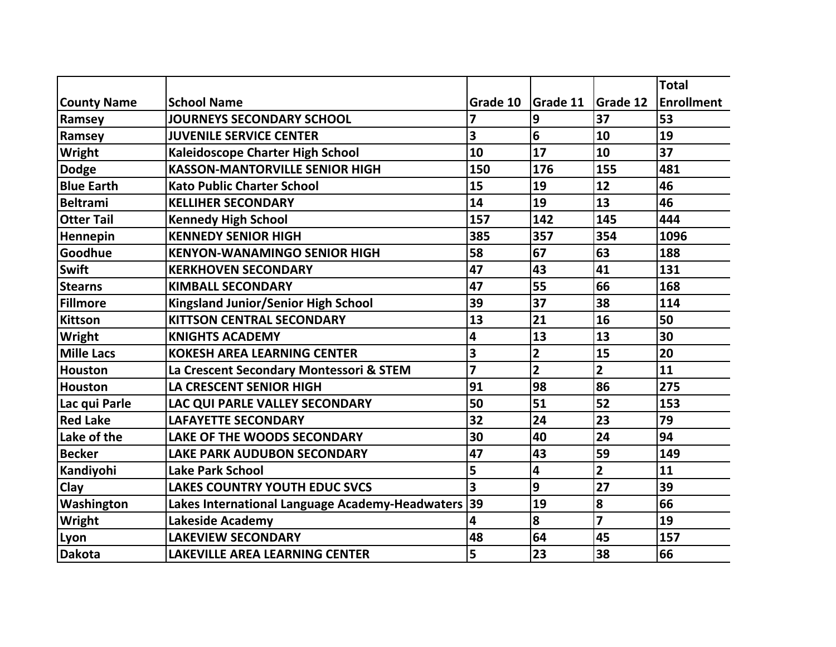|                    |                                                 |                |                 |                         | <b>Total</b>      |
|--------------------|-------------------------------------------------|----------------|-----------------|-------------------------|-------------------|
| <b>County Name</b> | <b>School Name</b>                              | Grade 10       | <b>Grade 11</b> | <b>Grade 12</b>         | <b>Enrollment</b> |
| Ramsey             | <b>JOURNEYS SECONDARY SCHOOL</b>                | 7              | 9               | 37                      | 53                |
| Ramsey             | <b>JUVENILE SERVICE CENTER</b>                  | 3              | 6               | 10                      | 19                |
| Wright             | <b>Kaleidoscope Charter High School</b>         | 10             | 17              | 10                      | 37                |
| <b>Dodge</b>       | <b>KASSON-MANTORVILLE SENIOR HIGH</b>           | 150            | 176             | 155                     | 481               |
| <b>Blue Earth</b>  | <b>Kato Public Charter School</b>               | 15             | 19              | 12                      | 46                |
| <b>Beltrami</b>    | <b>KELLIHER SECONDARY</b>                       | 14             | 19              | 13                      | 46                |
| <b>Otter Tail</b>  | <b>Kennedy High School</b>                      | 157            | 142             | 145                     | 444               |
| Hennepin           | <b>KENNEDY SENIOR HIGH</b>                      | 385            | 357             | 354                     | 1096              |
| Goodhue            | <b>KENYON-WANAMINGO SENIOR HIGH</b>             | 58             | 67              | 63                      | 188               |
| <b>Swift</b>       | <b>KERKHOVEN SECONDARY</b>                      | 47             | 43              | 41                      | 131               |
| <b>Stearns</b>     | <b>KIMBALL SECONDARY</b>                        | 47             | 55              | 66                      | 168               |
| Fillmore           | <b>Kingsland Junior/Senior High School</b>      | 39             | 37              | 38                      | 114               |
| <b>Kittson</b>     | <b>KITTSON CENTRAL SECONDARY</b>                | 13             | 21              | 16                      | 50                |
| Wright             | <b>KNIGHTS ACADEMY</b>                          | 4              | 13              | 13                      | 30                |
| <b>Mille Lacs</b>  | <b>KOKESH AREA LEARNING CENTER</b>              | 3              | $\overline{2}$  | 15                      | 20                |
| <b>Houston</b>     | La Crescent Secondary Montessori & STEM         | $\overline{7}$ | $\overline{2}$  | $\overline{2}$          | 11                |
| Houston            | <b>LA CRESCENT SENIOR HIGH</b>                  | 91             | 98              | 86                      | 275               |
| Lac qui Parle      | LAC QUI PARLE VALLEY SECONDARY                  | 50             | 51              | 52                      | 153               |
| <b>Red Lake</b>    | <b>LAFAYETTE SECONDARY</b>                      | 32             | 24              | 23                      | 79                |
| Lake of the        | LAKE OF THE WOODS SECONDARY                     | 30             | 40              | 24                      | 94                |
| <b>Becker</b>      | <b>LAKE PARK AUDUBON SECONDARY</b>              | 47             | 43              | 59                      | 149               |
| Kandiyohi          | <b>Lake Park School</b>                         | 5              | 4               | $\overline{2}$          | 11                |
| Clay               | <b>LAKES COUNTRY YOUTH EDUC SVCS</b>            | 3              | 9               | 27                      | 39                |
| Washington         | Lakes International Language Academy-Headwaters | 39             | 19              | 8                       | 66                |
| Wright             | <b>Lakeside Academy</b>                         | 4              | 8               | $\overline{\mathbf{z}}$ | 19                |
| Lyon               | <b>LAKEVIEW SECONDARY</b>                       | 48             | 64              | 45                      | 157               |
| <b>Dakota</b>      | <b>LAKEVILLE AREA LEARNING CENTER</b>           | 5              | 23              | 38                      | 66                |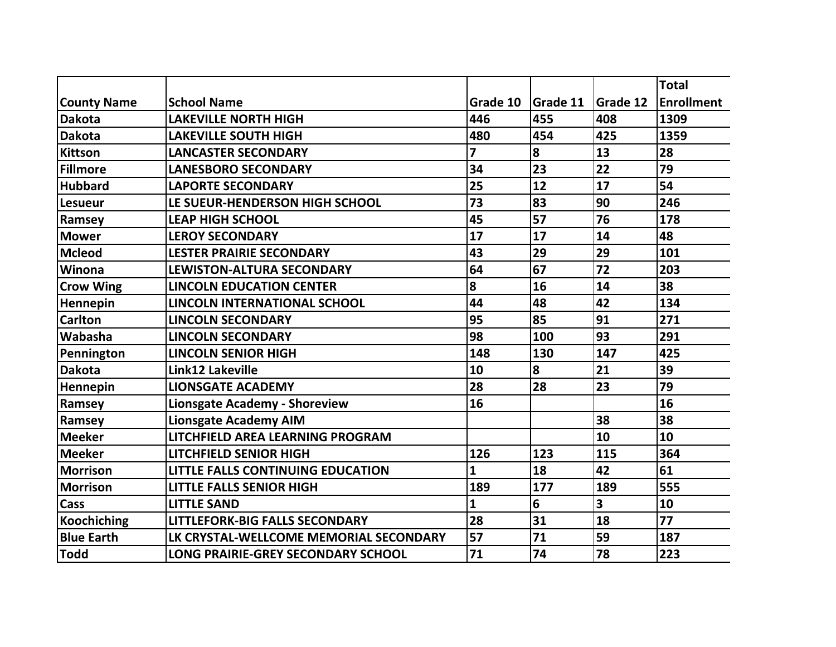|                    |                                           |              |          |                 | <b>Total</b>      |
|--------------------|-------------------------------------------|--------------|----------|-----------------|-------------------|
| <b>County Name</b> | <b>School Name</b>                        | Grade 10     | Grade 11 | <b>Grade 12</b> | <b>Enrollment</b> |
| <b>Dakota</b>      | <b>LAKEVILLE NORTH HIGH</b>               | 446          | 455      | 408             | 1309              |
| <b>Dakota</b>      | <b>LAKEVILLE SOUTH HIGH</b>               | 480          | 454      | 425             | 1359              |
| Kittson            | <b>LANCASTER SECONDARY</b>                | 7            | 8        | 13              | 28                |
| Fillmore           | <b>LANESBORO SECONDARY</b>                | 34           | 23       | 22              | 79                |
| <b>Hubbard</b>     | <b>LAPORTE SECONDARY</b>                  | 25           | 12       | 17              | 54                |
| <b>Lesueur</b>     | LE SUEUR-HENDERSON HIGH SCHOOL            | 73           | 83       | 90              | 246               |
| Ramsey             | <b>LEAP HIGH SCHOOL</b>                   | 45           | 57       | 76              | 178               |
| <b>Mower</b>       | <b>LEROY SECONDARY</b>                    | 17           | 17       | 14              | 48                |
| <b>Mcleod</b>      | <b>LESTER PRAIRIE SECONDARY</b>           | 43           | 29       | 29              | 101               |
| Winona             | LEWISTON-ALTURA SECONDARY                 | 64           | 67       | 72              | 203               |
| <b>Crow Wing</b>   | <b>LINCOLN EDUCATION CENTER</b>           | 8            | 16       | 14              | 38                |
| <b>Hennepin</b>    | <b>LINCOLN INTERNATIONAL SCHOOL</b>       | 44           | 48       | 42              | 134               |
| <b>Carlton</b>     | <b>LINCOLN SECONDARY</b>                  | 95           | 85       | 91              | 271               |
| Wabasha            | <b>LINCOLN SECONDARY</b>                  | 98           | 100      | 93              | 291               |
| Pennington         | <b>LINCOLN SENIOR HIGH</b>                | 148          | 130      | 147             | 425               |
| <b>Dakota</b>      | <b>Link12 Lakeville</b>                   | 10           | 8        | 21              | 39                |
| Hennepin           | <b>LIONSGATE ACADEMY</b>                  | 28           | 28       | 23              | 79                |
| Ramsey             | <b>Lionsgate Academy - Shoreview</b>      | 16           |          |                 | 16                |
| Ramsey             | <b>Lionsgate Academy AIM</b>              |              |          | 38              | 38                |
| <b>Meeker</b>      | <b>LITCHFIELD AREA LEARNING PROGRAM</b>   |              |          | 10              | 10                |
| <b>Meeker</b>      | <b>LITCHFIELD SENIOR HIGH</b>             | 126          | 123      | 115             | 364               |
| <b>Morrison</b>    | LITTLE FALLS CONTINUING EDUCATION         | $\mathbf{1}$ | 18       | 42              | 61                |
| <b>Morrison</b>    | <b>LITTLE FALLS SENIOR HIGH</b>           | 189          | 177      | 189             | 555               |
| Cass               | <b>LITTLE SAND</b>                        | 1            | 6        | 3               | 10                |
| <b>Koochiching</b> | <b>LITTLEFORK-BIG FALLS SECONDARY</b>     | 28           | 31       | 18              | 77                |
| <b>Blue Earth</b>  | LK CRYSTAL-WELLCOME MEMORIAL SECONDARY    | 57           | 71       | 59              | 187               |
| <b>Todd</b>        | <b>LONG PRAIRIE-GREY SECONDARY SCHOOL</b> | 71           | 74       | 78              | 223               |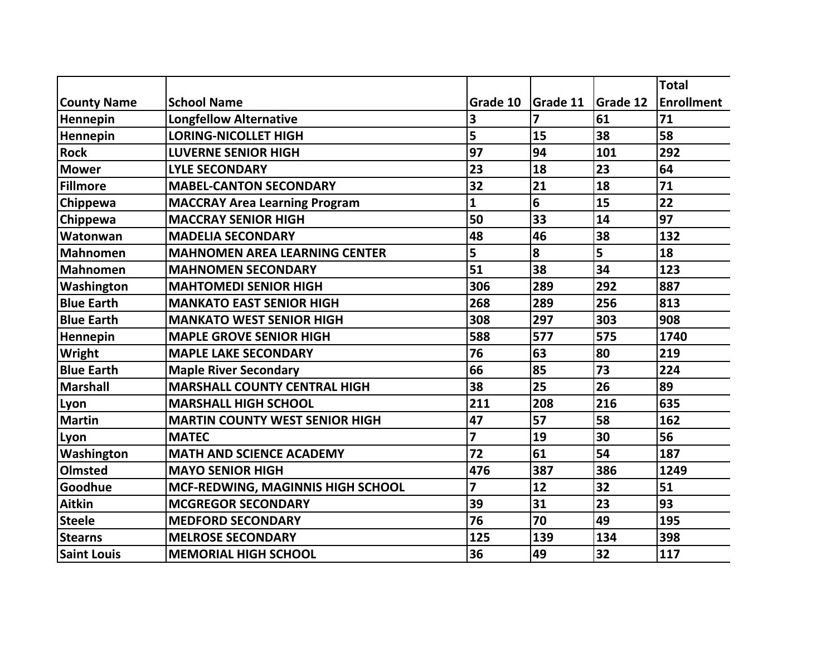|                    |                                       |                         |                 |                 | <b>Total</b>      |
|--------------------|---------------------------------------|-------------------------|-----------------|-----------------|-------------------|
| <b>County Name</b> | <b>School Name</b>                    | Grade 10                | <b>Grade 11</b> | <b>Grade 12</b> | <b>Enrollment</b> |
| Hennepin           | <b>Longfellow Alternative</b>         | 3                       | 7               | 61              | 71                |
| Hennepin           | <b>LORING-NICOLLET HIGH</b>           | 5                       | 15              | 38              | 58                |
| <b>Rock</b>        | <b>LUVERNE SENIOR HIGH</b>            | 97                      | 94              | 101             | 292               |
| <b>Mower</b>       | <b>LYLE SECONDARY</b>                 | 23                      | 18              | 23              | 64                |
| <b>Fillmore</b>    | <b>MABEL-CANTON SECONDARY</b>         | 32                      | 21              | 18              | 71                |
| Chippewa           | <b>MACCRAY Area Learning Program</b>  | 1                       | 6               | 15              | 22                |
| Chippewa           | <b>MACCRAY SENIOR HIGH</b>            | 50                      | 33              | 14              | 97                |
| Watonwan           | <b>MADELIA SECONDARY</b>              | 48                      | 46              | 38              | 132               |
| <b>Mahnomen</b>    | <b>MAHNOMEN AREA LEARNING CENTER</b>  | 5                       | 8               | 5               | 18                |
| <b>Mahnomen</b>    | <b>MAHNOMEN SECONDARY</b>             | 51                      | 38              | 34              | 123               |
| Washington         | <b>MAHTOMEDI SENIOR HIGH</b>          | 306                     | 289             | 292             | 887               |
| <b>Blue Earth</b>  | <b>MANKATO EAST SENIOR HIGH</b>       | 268                     | 289             | 256             | 813               |
| <b>Blue Earth</b>  | <b>MANKATO WEST SENIOR HIGH</b>       | 308                     | 297             | 303             | 908               |
| Hennepin           | <b>MAPLE GROVE SENIOR HIGH</b>        | 588                     | 577             | 575             | 1740              |
| Wright             | <b>MAPLE LAKE SECONDARY</b>           | 76                      | 63              | 80              | 219               |
| <b>Blue Earth</b>  | <b>Maple River Secondary</b>          | 66                      | 85              | 73              | 224               |
| <b>Marshall</b>    | <b>MARSHALL COUNTY CENTRAL HIGH</b>   | 38                      | 25              | 26              | 89                |
| Lyon               | <b>MARSHALL HIGH SCHOOL</b>           | 211                     | 208             | 216             | 635               |
| <b>Martin</b>      | <b>MARTIN COUNTY WEST SENIOR HIGH</b> | 47                      | 57              | 58              | 162               |
| Lyon               | <b>MATEC</b>                          | $\overline{\mathbf{z}}$ | 19              | 30              | 56                |
| Washington         | <b>MATH AND SCIENCE ACADEMY</b>       | 72                      | 61              | 54              | 187               |
| <b>Olmsted</b>     | <b>MAYO SENIOR HIGH</b>               | 476                     | 387             | 386             | 1249              |
| Goodhue            | MCF-REDWING, MAGINNIS HIGH SCHOOL     | 7                       | 12              | 32              | 51                |
| <b>Aitkin</b>      | <b>MCGREGOR SECONDARY</b>             | 39                      | 31              | 23              | 93                |
| <b>Steele</b>      | <b>MEDFORD SECONDARY</b>              | 76                      | 70              | 49              | 195               |
| <b>Stearns</b>     | <b>MELROSE SECONDARY</b>              | 125                     | 139             | 134             | 398               |
| <b>Saint Louis</b> | <b>MEMORIAL HIGH SCHOOL</b>           | 36                      | 49              | 32              | 117               |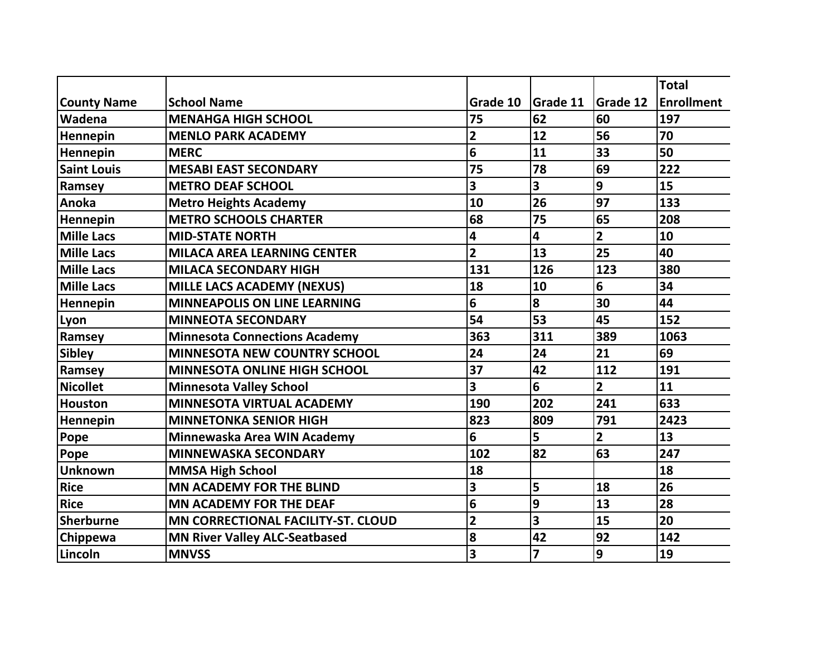|                    |                                           |                         |                 |                 | <b>Total</b>      |
|--------------------|-------------------------------------------|-------------------------|-----------------|-----------------|-------------------|
| <b>County Name</b> | <b>School Name</b>                        | Grade 10                | <b>Grade 11</b> | <b>Grade 12</b> | <b>Enrollment</b> |
| Wadena             | <b>MENAHGA HIGH SCHOOL</b>                | 75                      | 62              | 60              | 197               |
| Hennepin           | <b>MENLO PARK ACADEMY</b>                 | $\overline{\mathbf{2}}$ | 12              | 56              | 70                |
| Hennepin           | <b>MERC</b>                               | 6                       | 11              | 33              | 50                |
| <b>Saint Louis</b> | <b>MESABI EAST SECONDARY</b>              | 75                      | 78              | 69              | 222               |
| Ramsey             | <b>METRO DEAF SCHOOL</b>                  | 3                       | 3               | 9               | 15                |
| Anoka              | <b>Metro Heights Academy</b>              | 10                      | 26              | 97              | 133               |
| Hennepin           | <b>METRO SCHOOLS CHARTER</b>              | 68                      | 75              | 65              | 208               |
| <b>Mille Lacs</b>  | <b>MID-STATE NORTH</b>                    | 4                       | 4               | $\overline{2}$  | 10                |
| <b>Mille Lacs</b>  | <b>MILACA AREA LEARNING CENTER</b>        | $\overline{2}$          | 13              | 25              | 40                |
| <b>Mille Lacs</b>  | <b>MILACA SECONDARY HIGH</b>              | 131                     | 126             | 123             | 380               |
| <b>Mille Lacs</b>  | <b>MILLE LACS ACADEMY (NEXUS)</b>         | 18                      | 10              | 6               | 34                |
| Hennepin           | <b>MINNEAPOLIS ON LINE LEARNING</b>       | 6                       | 8               | 30              | 44                |
| Lyon               | <b>MINNEOTA SECONDARY</b>                 | 54                      | 53              | 45              | 152               |
| Ramsey             | <b>Minnesota Connections Academy</b>      | 363                     | 311             | 389             | 1063              |
| <b>Sibley</b>      | <b>MINNESOTA NEW COUNTRY SCHOOL</b>       | 24                      | 24              | 21              | 69                |
| Ramsey             | <b>MINNESOTA ONLINE HIGH SCHOOL</b>       | 37                      | 42              | 112             | 191               |
| <b>Nicollet</b>    | <b>Minnesota Valley School</b>            | 3                       | 6               | $\overline{2}$  | 11                |
| <b>Houston</b>     | <b>MINNESOTA VIRTUAL ACADEMY</b>          | 190                     | 202             | 241             | 633               |
| Hennepin           | <b>MINNETONKA SENIOR HIGH</b>             | 823                     | 809             | 791             | 2423              |
| Pope               | Minnewaska Area WIN Academy               | 6                       | 5               | $\overline{2}$  | 13                |
| Pope               | <b>MINNEWASKA SECONDARY</b>               | 102                     | 82              | 63              | 247               |
| <b>Unknown</b>     | <b>MMSA High School</b>                   | 18                      |                 |                 | 18                |
| <b>Rice</b>        | <b>MN ACADEMY FOR THE BLIND</b>           | 3                       | 5               | 18              | 26                |
| Rice               | <b>MN ACADEMY FOR THE DEAF</b>            | 6                       | 9               | 13              | 28                |
| <b>Sherburne</b>   | <b>MN CORRECTIONAL FACILITY-ST. CLOUD</b> | $\overline{\mathbf{2}}$ | 3               | 15              | 20                |
| Chippewa           | <b>MN River Valley ALC-Seatbased</b>      | 8                       | 42              | 92              | 142               |
| Lincoln            | <b>MNVSS</b>                              | 3                       | $\overline{7}$  | 9               | 19                |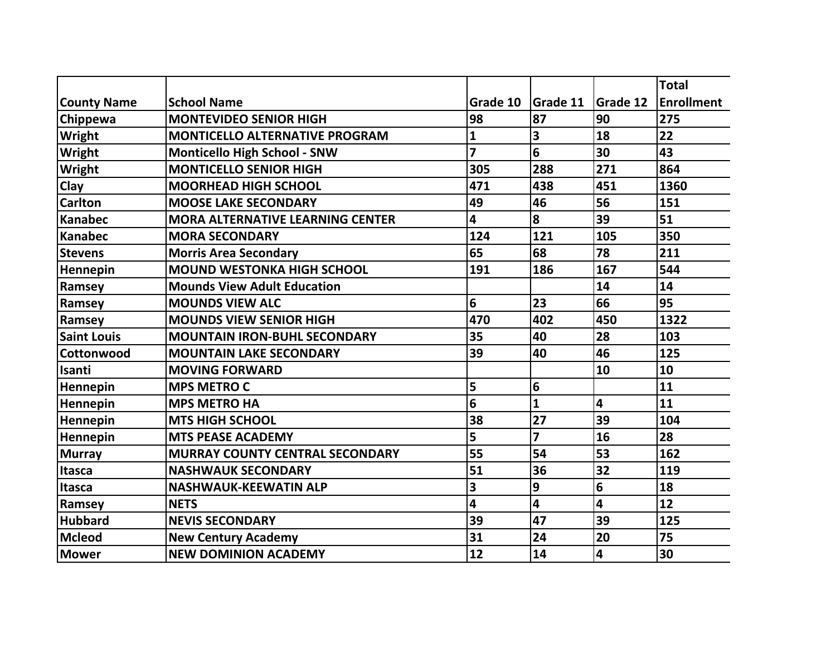|                    |                                         |                |                         |                         | <b>Total</b>      |
|--------------------|-----------------------------------------|----------------|-------------------------|-------------------------|-------------------|
| <b>County Name</b> | <b>School Name</b>                      | Grade 10       | Grade 11                | <b>Grade 12</b>         | <b>Enrollment</b> |
| Chippewa           | <b>MONTEVIDEO SENIOR HIGH</b>           | 98             | 87                      | 90                      | 275               |
| <b>Wright</b>      | <b>MONTICELLO ALTERNATIVE PROGRAM</b>   | 1              | 3                       | 18                      | 22                |
| Wright             | <b>Monticello High School - SNW</b>     | $\overline{z}$ | 6                       | 30                      | 43                |
| Wright             | <b>MONTICELLO SENIOR HIGH</b>           | 305            | 288                     | 271                     | 864               |
| Clay               | <b>MOORHEAD HIGH SCHOOL</b>             | 471            | 438                     | 451                     | 1360              |
| <b>Carlton</b>     | <b>MOOSE LAKE SECONDARY</b>             | 49             | 46                      | 56                      | 151               |
| <b>Kanabec</b>     | <b>MORA ALTERNATIVE LEARNING CENTER</b> | 4              | 8                       | 39                      | 51                |
| <b>Kanabec</b>     | <b>MORA SECONDARY</b>                   | 124            | 121                     | 105                     | 350               |
| <b>Stevens</b>     | <b>Morris Area Secondary</b>            | 65             | 68                      | 78                      | 211               |
| Hennepin           | <b>MOUND WESTONKA HIGH SCHOOL</b>       | 191            | 186                     | 167                     | 544               |
| Ramsey             | <b>Mounds View Adult Education</b>      |                |                         | 14                      | 14                |
| Ramsey             | <b>MOUNDS VIEW ALC</b>                  | 6              | 23                      | 66                      | 95                |
| Ramsey             | <b>MOUNDS VIEW SENIOR HIGH</b>          | 470            | 402                     | 450                     | 1322              |
| <b>Saint Louis</b> | <b>MOUNTAIN IRON-BUHL SECONDARY</b>     | 35             | 40                      | 28                      | 103               |
| Cottonwood         | <b>MOUNTAIN LAKE SECONDARY</b>          | 39             | 40                      | 46                      | 125               |
| Isanti             | <b>MOVING FORWARD</b>                   |                |                         | 10                      | 10                |
| Hennepin           | <b>MPS METRO C</b>                      | 5              | 6                       |                         | 11                |
| Hennepin           | <b>MPS METRO HA</b>                     | 6              | $\mathbf{1}$            | $\overline{\mathbf{4}}$ | 11                |
| Hennepin           | <b>MTS HIGH SCHOOL</b>                  | 38             | 27                      | 39                      | 104               |
| Hennepin           | <b>MTS PEASE ACADEMY</b>                | 5              | $\overline{\mathbf{z}}$ | 16                      | 28                |
| <b>Murray</b>      | <b>MURRAY COUNTY CENTRAL SECONDARY</b>  | 55             | 54                      | 53                      | 162               |
| <b>Itasca</b>      | <b>NASHWAUK SECONDARY</b>               | 51             | 36                      | 32                      | 119               |
| Itasca             | <b>NASHWAUK-KEEWATIN ALP</b>            | 3              | 9                       | 6                       | 18                |
| Ramsey             | <b>NETS</b>                             | 4              | 4                       | 4                       | 12                |
| <b>Hubbard</b>     | <b>NEVIS SECONDARY</b>                  | 39             | 47                      | 39                      | 125               |
| <b>Mcleod</b>      | <b>New Century Academy</b>              | 31             | 24                      | 20                      | 75                |
| Mower              | <b>NEW DOMINION ACADEMY</b>             | 12             | 14                      | 4                       | 30                |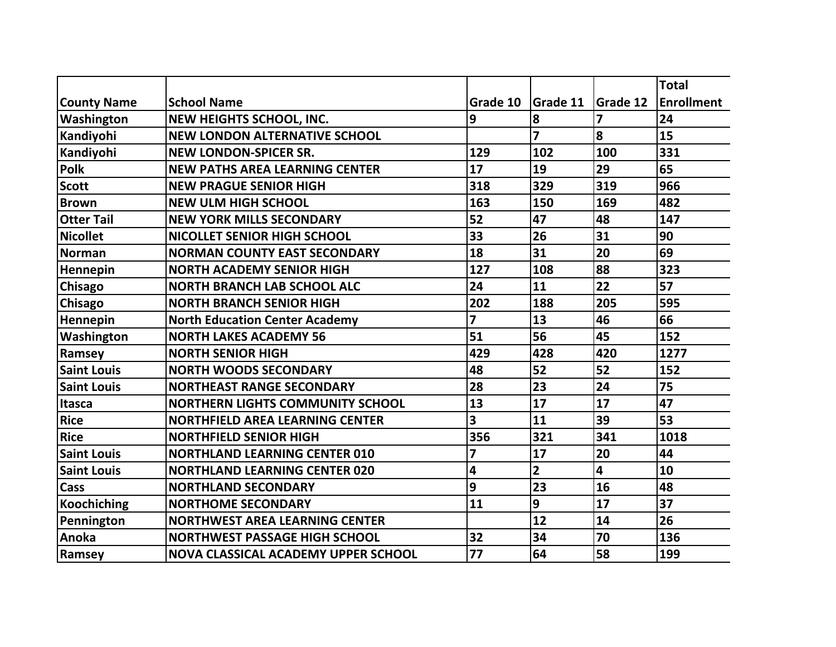|                    |                                            |          |                 |                 | <b>Total</b>      |
|--------------------|--------------------------------------------|----------|-----------------|-----------------|-------------------|
| <b>County Name</b> | <b>School Name</b>                         | Grade 10 | <b>Grade 11</b> | <b>Grade 12</b> | <b>Enrollment</b> |
| Washington         | NEW HEIGHTS SCHOOL, INC.                   | 9        | 8               | $\overline{z}$  | 24                |
| Kandiyohi          | <b>NEW LONDON ALTERNATIVE SCHOOL</b>       |          | 7               | 8               | 15                |
| Kandiyohi          | <b>NEW LONDON-SPICER SR.</b>               | 129      | 102             | 100             | 331               |
| <b>Polk</b>        | <b>NEW PATHS AREA LEARNING CENTER</b>      | 17       | 19              | 29              | 65                |
| <b>Scott</b>       | <b>NEW PRAGUE SENIOR HIGH</b>              | 318      | 329             | 319             | 966               |
| <b>Brown</b>       | <b>NEW ULM HIGH SCHOOL</b>                 | 163      | 150             | 169             | 482               |
| <b>Otter Tail</b>  | <b>NEW YORK MILLS SECONDARY</b>            | 52       | 47              | 48              | 147               |
| <b>Nicollet</b>    | <b>NICOLLET SENIOR HIGH SCHOOL</b>         | 33       | 26              | 31              | 90                |
| <b>Norman</b>      | <b>NORMAN COUNTY EAST SECONDARY</b>        | 18       | 31              | 20              | 69                |
| Hennepin           | <b>NORTH ACADEMY SENIOR HIGH</b>           | 127      | 108             | 88              | 323               |
| Chisago            | <b>NORTH BRANCH LAB SCHOOL ALC</b>         | 24       | 11              | 22              | 57                |
| Chisago            | <b>NORTH BRANCH SENIOR HIGH</b>            | 202      | 188             | 205             | 595               |
| Hennepin           | <b>North Education Center Academy</b>      | 7        | 13              | 46              | 66                |
| Washington         | <b>NORTH LAKES ACADEMY 56</b>              | 51       | 56              | 45              | 152               |
| Ramsey             | <b>NORTH SENIOR HIGH</b>                   | 429      | 428             | 420             | 1277              |
| <b>Saint Louis</b> | <b>NORTH WOODS SECONDARY</b>               | 48       | 52              | 52              | 152               |
| <b>Saint Louis</b> | <b>NORTHEAST RANGE SECONDARY</b>           | 28       | 23              | 24              | 75                |
| <b>Itasca</b>      | <b>NORTHERN LIGHTS COMMUNITY SCHOOL</b>    | 13       | 17              | 17              | 47                |
| <b>Rice</b>        | <b>NORTHFIELD AREA LEARNING CENTER</b>     | 3        | 11              | 39              | 53                |
| <b>Rice</b>        | <b>NORTHFIELD SENIOR HIGH</b>              | 356      | 321             | 341             | 1018              |
| <b>Saint Louis</b> | <b>NORTHLAND LEARNING CENTER 010</b>       | 7        | 17              | 20              | 44                |
| <b>Saint Louis</b> | <b>NORTHLAND LEARNING CENTER 020</b>       | 4        | $\overline{2}$  | 4               | 10                |
| Cass               | <b>NORTHLAND SECONDARY</b>                 | 9        | 23              | 16              | 48                |
| <b>Koochiching</b> | <b>NORTHOME SECONDARY</b>                  | 11       | 9               | 17              | 37                |
| Pennington         | <b>NORTHWEST AREA LEARNING CENTER</b>      |          | 12              | 14              | 26                |
| Anoka              | <b>NORTHWEST PASSAGE HIGH SCHOOL</b>       | 32       | 34              | 70              | 136               |
| Ramsey             | <b>NOVA CLASSICAL ACADEMY UPPER SCHOOL</b> | 77       | 64              | 58              | 199               |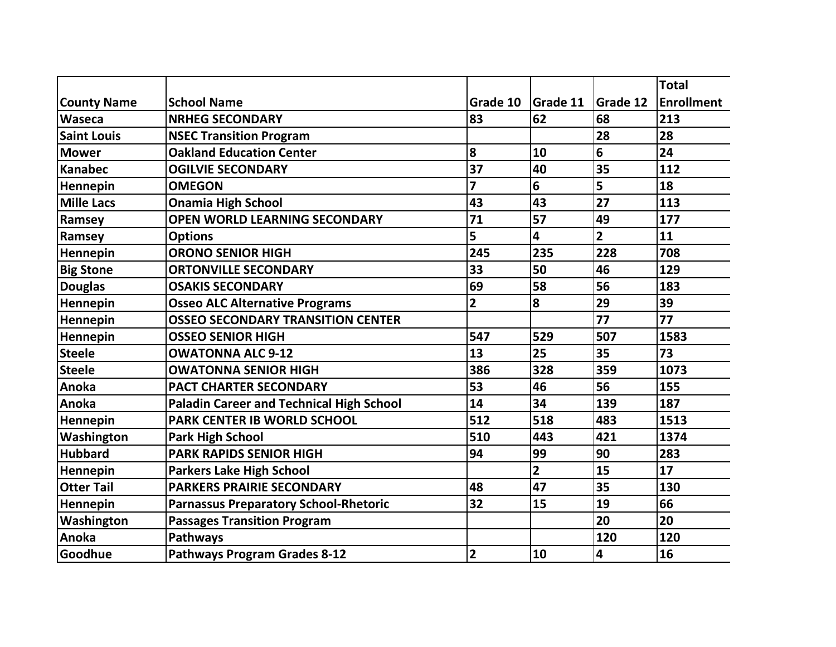|                    |                                                 |                         |                |                 | Total             |
|--------------------|-------------------------------------------------|-------------------------|----------------|-----------------|-------------------|
| <b>County Name</b> | <b>School Name</b>                              | Grade 10                | Grade 11       | <b>Grade 12</b> | <b>Enrollment</b> |
| Waseca             | <b>NRHEG SECONDARY</b>                          | 83                      | 62             | 68              | 213               |
| <b>Saint Louis</b> | <b>NSEC Transition Program</b>                  |                         |                | 28              | 28                |
| <b>Mower</b>       | <b>Oakland Education Center</b>                 | 8                       | 10             | 6               | 24                |
| <b>Kanabec</b>     | <b>OGILVIE SECONDARY</b>                        | 37                      | 40             | 35              | 112               |
| Hennepin           | <b>OMEGON</b>                                   | $\overline{\mathbf{z}}$ | 6              | 5               | 18                |
| <b>Mille Lacs</b>  | <b>Onamia High School</b>                       | 43                      | 43             | 27              | 113               |
| Ramsey             | <b>OPEN WORLD LEARNING SECONDARY</b>            | 71                      | 57             | 49              | 177               |
| Ramsey             | <b>Options</b>                                  | 5                       | 4              | $\overline{2}$  | 11                |
| Hennepin           | <b>ORONO SENIOR HIGH</b>                        | 245                     | 235            | 228             | 708               |
| <b>Big Stone</b>   | <b>ORTONVILLE SECONDARY</b>                     | 33                      | 50             | 46              | 129               |
| <b>Douglas</b>     | <b>OSAKIS SECONDARY</b>                         | 69                      | 58             | 56              | 183               |
| Hennepin           | <b>Osseo ALC Alternative Programs</b>           | $\overline{\mathbf{2}}$ | 8              | 29              | 39                |
| Hennepin           | <b>OSSEO SECONDARY TRANSITION CENTER</b>        |                         |                | 77              | 77                |
| Hennepin           | <b>OSSEO SENIOR HIGH</b>                        | 547                     | 529            | 507             | 1583              |
| <b>Steele</b>      | <b>OWATONNA ALC 9-12</b>                        | 13                      | 25             | 35              | 73                |
| <b>Steele</b>      | <b>OWATONNA SENIOR HIGH</b>                     | 386                     | 328            | 359             | 1073              |
| Anoka              | <b>PACT CHARTER SECONDARY</b>                   | 53                      | 46             | 56              | 155               |
| Anoka              | <b>Paladin Career and Technical High School</b> | 14                      | 34             | 139             | 187               |
| Hennepin           | <b>PARK CENTER IB WORLD SCHOOL</b>              | 512                     | 518            | 483             | 1513              |
| Washington         | <b>Park High School</b>                         | 510                     | 443            | 421             | 1374              |
| <b>Hubbard</b>     | <b>PARK RAPIDS SENIOR HIGH</b>                  | 94                      | 99             | 90              | 283               |
| Hennepin           | <b>Parkers Lake High School</b>                 |                         | $\overline{2}$ | 15              | 17                |
| <b>Otter Tail</b>  | <b>PARKERS PRAIRIE SECONDARY</b>                | 48                      | 47             | 35              | 130               |
| Hennepin           | <b>Parnassus Preparatory School-Rhetoric</b>    | 32                      | 15             | 19              | 66                |
| Washington         | <b>Passages Transition Program</b>              |                         |                | 20              | 20                |
| Anoka              | Pathways                                        |                         |                | 120             | 120               |
| Goodhue            | <b>Pathways Program Grades 8-12</b>             | $\overline{\mathbf{2}}$ | 10             | 4               | 16                |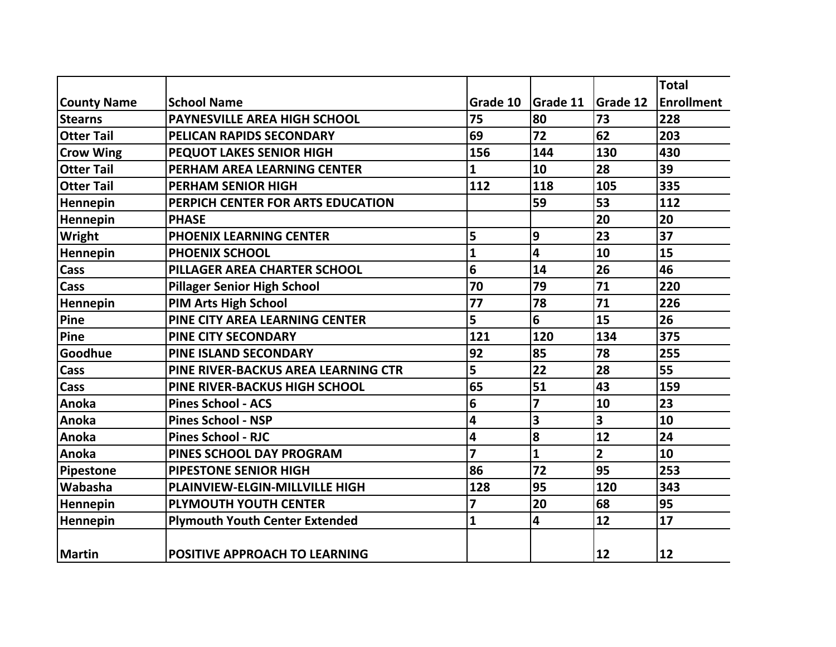|                    |                                       |                         |              |                 | <b>Total</b>      |
|--------------------|---------------------------------------|-------------------------|--------------|-----------------|-------------------|
| <b>County Name</b> | <b>School Name</b>                    | Grade 10                | Grade 11     | <b>Grade 12</b> | <b>Enrollment</b> |
| <b>Stearns</b>     | <b>PAYNESVILLE AREA HIGH SCHOOL</b>   | 75                      | 80           | 73              | 228               |
| <b>Otter Tail</b>  | PELICAN RAPIDS SECONDARY              | 69                      | 72           | 62              | 203               |
| <b>Crow Wing</b>   | <b>PEQUOT LAKES SENIOR HIGH</b>       | 156                     | 144          | 130             | 430               |
| <b>Otter Tail</b>  | PERHAM AREA LEARNING CENTER           | 1                       | 10           | 28              | 39                |
| <b>Otter Tail</b>  | <b>PERHAM SENIOR HIGH</b>             | 112                     | 118          | 105             | 335               |
| Hennepin           | PERPICH CENTER FOR ARTS EDUCATION     |                         | 59           | 53              | 112               |
| Hennepin           | <b>PHASE</b>                          |                         |              | 20              | 20                |
| Wright             | <b>PHOENIX LEARNING CENTER</b>        | 5                       | 9            | 23              | 37                |
| Hennepin           | <b>PHOENIX SCHOOL</b>                 | 1                       | 4            | 10              | 15                |
| Cass               | PILLAGER AREA CHARTER SCHOOL          | 6                       | 14           | 26              | 46                |
| Cass               | <b>Pillager Senior High School</b>    | 70                      | 79           | 71              | 220               |
| Hennepin           | <b>PIM Arts High School</b>           | 77                      | 78           | 71              | 226               |
| Pine               | PINE CITY AREA LEARNING CENTER        | 5                       | 6            | 15              | 26                |
| Pine               | <b>PINE CITY SECONDARY</b>            | 121                     | 120          | 134             | 375               |
| Goodhue            | <b>PINE ISLAND SECONDARY</b>          | 92                      | 85           | 78              | 255               |
| Cass               | PINE RIVER-BACKUS AREA LEARNING CTR   | 5                       | 22           | 28              | 55                |
| Cass               | PINE RIVER-BACKUS HIGH SCHOOL         | 65                      | 51           | 43              | 159               |
| Anoka              | <b>Pines School - ACS</b>             | 6                       | 7            | 10              | 23                |
| Anoka              | <b>Pines School - NSP</b>             | 4                       | 3            | 3               | 10                |
| Anoka              | <b>Pines School - RJC</b>             | 4                       | 8            | 12              | 24                |
| Anoka              | <b>PINES SCHOOL DAY PROGRAM</b>       | $\overline{\mathbf{z}}$ | $\mathbf{1}$ | $\overline{2}$  | 10                |
| Pipestone          | <b>PIPESTONE SENIOR HIGH</b>          | 86                      | 72           | 95              | 253               |
| Wabasha            | <b>PLAINVIEW-ELGIN-MILLVILLE HIGH</b> | 128                     | 95           | 120             | 343               |
| Hennepin           | <b>PLYMOUTH YOUTH CENTER</b>          | 7                       | 20           | 68              | 95                |
| Hennepin           | <b>Plymouth Youth Center Extended</b> | $\mathbf{1}$            | 4            | 12              | 17                |
| <b>Martin</b>      | <b>POSITIVE APPROACH TO LEARNING</b>  |                         |              | $ 12\rangle$    | $ 12\rangle$      |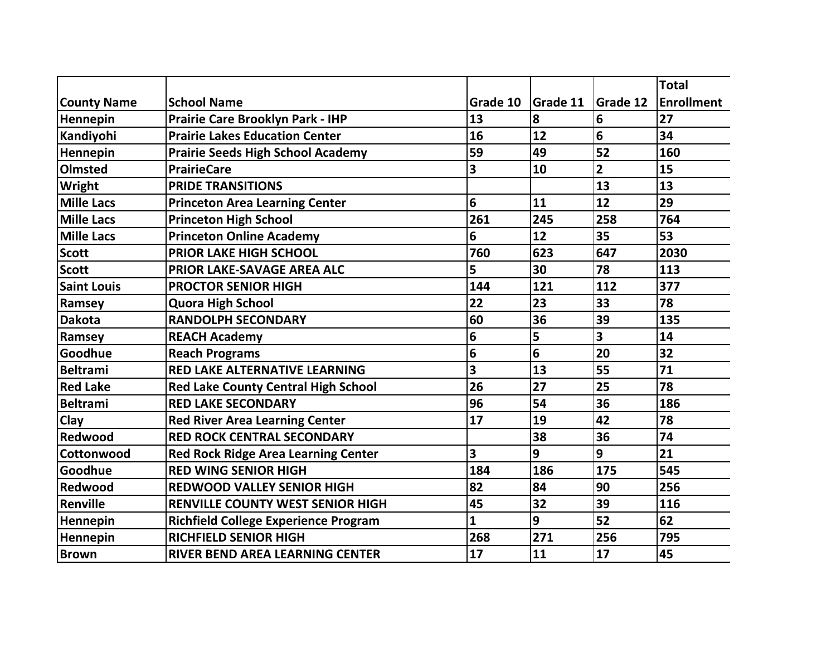|                    |                                             |          |                 |                         | <b>Total</b>      |
|--------------------|---------------------------------------------|----------|-----------------|-------------------------|-------------------|
| <b>County Name</b> | <b>School Name</b>                          | Grade 10 | <b>Grade 11</b> | <b>Grade 12</b>         | <b>Enrollment</b> |
| Hennepin           | <b>Prairie Care Brooklyn Park - IHP</b>     | 13       | 8               | 6                       | 27                |
| Kandiyohi          | <b>Prairie Lakes Education Center</b>       | 16       | 12              | 6                       | 34                |
| Hennepin           | <b>Prairie Seeds High School Academy</b>    | 59       | 49              | 52                      | 160               |
| <b>Olmsted</b>     | <b>PrairieCare</b>                          | 3        | 10              | $\overline{2}$          | 15                |
| Wright             | <b>PRIDE TRANSITIONS</b>                    |          |                 | 13                      | 13                |
| <b>Mille Lacs</b>  | <b>Princeton Area Learning Center</b>       | 6        | 11              | 12                      | 29                |
| <b>Mille Lacs</b>  | <b>Princeton High School</b>                | 261      | 245             | 258                     | 764               |
| <b>Mille Lacs</b>  | <b>Princeton Online Academy</b>             | 6        | 12              | 35                      | 53                |
| <b>Scott</b>       | <b>PRIOR LAKE HIGH SCHOOL</b>               | 760      | 623             | 647                     | 2030              |
| <b>Scott</b>       | PRIOR LAKE-SAVAGE AREA ALC                  | 5        | 30              | 78                      | 113               |
| <b>Saint Louis</b> | <b>PROCTOR SENIOR HIGH</b>                  | 144      | 121             | 112                     | 377               |
| Ramsey             | <b>Quora High School</b>                    | 22       | 23              | 33                      | 78                |
| <b>Dakota</b>      | <b>RANDOLPH SECONDARY</b>                   | 60       | 36              | 39                      | 135               |
| Ramsey             | <b>REACH Academy</b>                        | 6        | 5               | $\overline{\mathbf{3}}$ | 14                |
| Goodhue            | <b>Reach Programs</b>                       | 6        | 6               | 20                      | 32                |
| <b>Beltrami</b>    | <b>RED LAKE ALTERNATIVE LEARNING</b>        | 3        | 13              | 55                      | 71                |
| <b>Red Lake</b>    | <b>Red Lake County Central High School</b>  | 26       | 27              | 25                      | 78                |
| <b>Beltrami</b>    | <b>RED LAKE SECONDARY</b>                   | 96       | 54              | 36                      | 186               |
| Clay               | <b>Red River Area Learning Center</b>       | 17       | 19              | 42                      | 78                |
| Redwood            | <b>RED ROCK CENTRAL SECONDARY</b>           |          | 38              | 36                      | 74                |
| Cottonwood         | <b>Red Rock Ridge Area Learning Center</b>  | 3        | 9               | 9                       | 21                |
| Goodhue            | <b>RED WING SENIOR HIGH</b>                 | 184      | 186             | 175                     | 545               |
| Redwood            | <b>REDWOOD VALLEY SENIOR HIGH</b>           | 82       | 84              | 90                      | 256               |
| Renville           | RENVILLE COUNTY WEST SENIOR HIGH            | 45       | 32              | 39                      | 116               |
| Hennepin           | <b>Richfield College Experience Program</b> | 1        | 9               | 52                      | 62                |
| Hennepin           | <b>RICHFIELD SENIOR HIGH</b>                | 268      | 271             | 256                     | 795               |
| <b>Brown</b>       | <b>RIVER BEND AREA LEARNING CENTER</b>      | 17       | 11              | 17                      | 45                |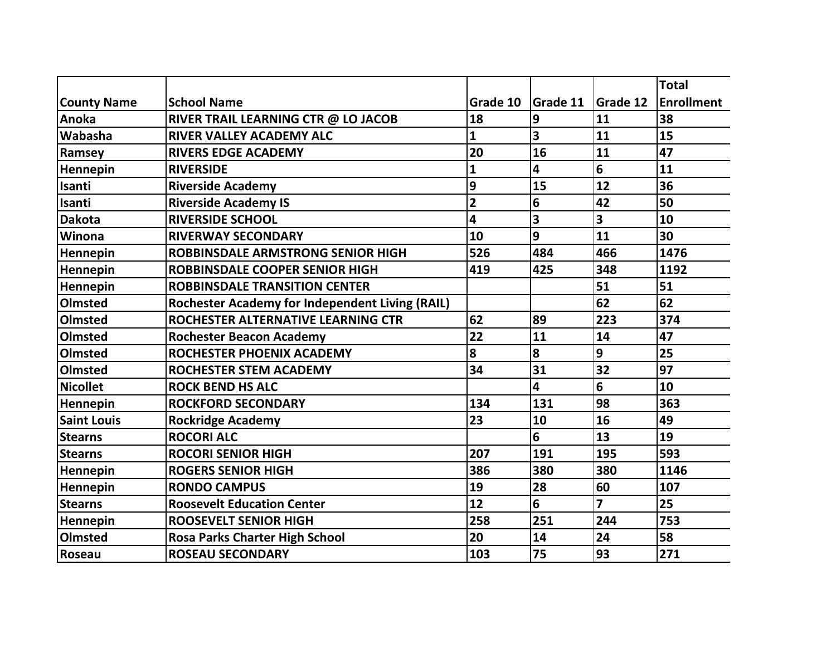|                    |                                                        |                |                 |                 | <b>Total</b>      |
|--------------------|--------------------------------------------------------|----------------|-----------------|-----------------|-------------------|
| <b>County Name</b> | <b>School Name</b>                                     | Grade 10       | <b>Grade 11</b> | <b>Grade 12</b> | <b>Enrollment</b> |
| Anoka              | RIVER TRAIL LEARNING CTR @ LO JACOB                    | 18             | 9               | 11              | 38                |
| <b>Wabasha</b>     | <b>RIVER VALLEY ACADEMY ALC</b>                        | $\overline{1}$ | 3               | 11              | 15                |
| Ramsey             | <b>RIVERS EDGE ACADEMY</b>                             | 20             | 16              | 11              | 47                |
| Hennepin           | <b>RIVERSIDE</b>                                       | 1              | 4               | 6               | 11                |
| Isanti             | <b>Riverside Academy</b>                               | 9              | 15              | 12              | 36                |
| Isanti             | <b>Riverside Academy IS</b>                            | $\overline{2}$ | 6               | 42              | 50                |
| <b>Dakota</b>      | <b>RIVERSIDE SCHOOL</b>                                | 4              | 3               | 3               | 10                |
| <b>Winona</b>      | <b>RIVERWAY SECONDARY</b>                              | 10             | 9               | 11              | 30                |
| <b>Hennepin</b>    | <b>ROBBINSDALE ARMSTRONG SENIOR HIGH</b>               | 526            | 484             | 466             | 1476              |
| Hennepin           | ROBBINSDALE COOPER SENIOR HIGH                         | 419            | 425             | 348             | 1192              |
| Hennepin           | <b>ROBBINSDALE TRANSITION CENTER</b>                   |                |                 | 51              | 51                |
| Olmsted            | <b>Rochester Academy for Independent Living (RAIL)</b> |                |                 | 62              | 62                |
| Olmsted            | ROCHESTER ALTERNATIVE LEARNING CTR                     | 62             | 89              | 223             | 374               |
| Olmsted            | <b>Rochester Beacon Academy</b>                        | 22             | 11              | 14              | 47                |
| Olmsted            | <b>ROCHESTER PHOENIX ACADEMY</b>                       | 8              | 8               | 9               | 25                |
| Olmsted            | <b>ROCHESTER STEM ACADEMY</b>                          | 34             | 31              | 32              | 97                |
| <b>Nicollet</b>    | <b>ROCK BEND HS ALC</b>                                |                | 4               | 6               | 10                |
| <b>Hennepin</b>    | <b>ROCKFORD SECONDARY</b>                              | 134            | 131             | 98              | 363               |
| <b>Saint Louis</b> | <b>Rockridge Academy</b>                               | 23             | 10              | 16              | 49                |
| <b>Stearns</b>     | <b>ROCORI ALC</b>                                      |                | 6               | 13              | 19                |
| <b>Stearns</b>     | <b>ROCORI SENIOR HIGH</b>                              | 207            | 191             | 195             | 593               |
| <b>Hennepin</b>    | <b>ROGERS SENIOR HIGH</b>                              | 386            | 380             | 380             | 1146              |
| Hennepin           | <b>RONDO CAMPUS</b>                                    | 19             | 28              | 60              | 107               |
| <b>Stearns</b>     | <b>Roosevelt Education Center</b>                      | 12             | 6               | $\overline{z}$  | 25                |
| <b>Hennepin</b>    | <b>ROOSEVELT SENIOR HIGH</b>                           | 258            | 251             | 244             | 753               |
| Olmsted            | <b>Rosa Parks Charter High School</b>                  | 20             | 14              | 24              | 58                |
| Roseau             | <b>ROSEAU SECONDARY</b>                                | 103            | 75              | 93              | 271               |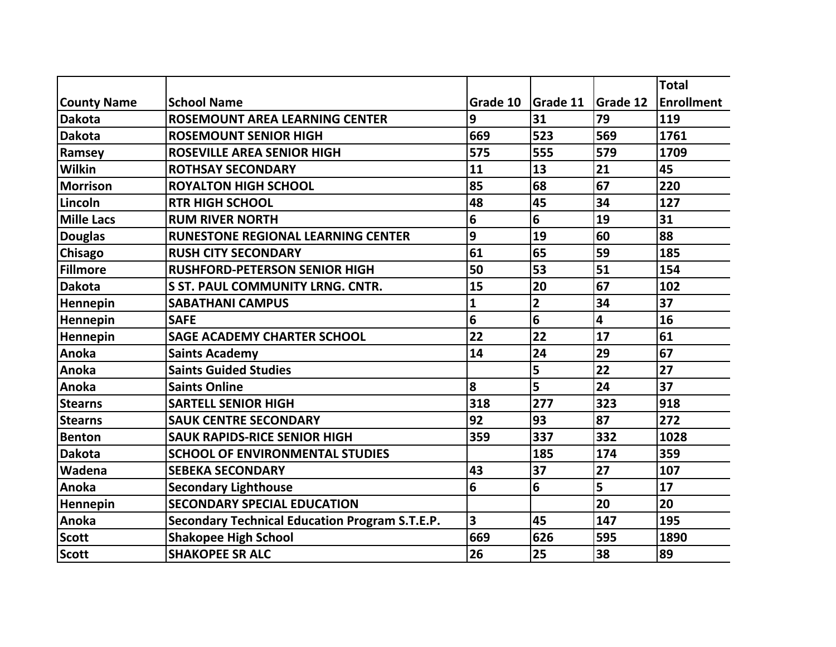|                    |                                                       |                         |                         |                 | <b>Total</b>      |
|--------------------|-------------------------------------------------------|-------------------------|-------------------------|-----------------|-------------------|
| <b>County Name</b> | <b>School Name</b>                                    | Grade 10                | Grade 11                | <b>Grade 12</b> | <b>Enrollment</b> |
| <b>Dakota</b>      | <b>ROSEMOUNT AREA LEARNING CENTER</b>                 | 9                       | 31                      | 79              | 119               |
| <b>Dakota</b>      | <b>ROSEMOUNT SENIOR HIGH</b>                          | 669                     | 523                     | 569             | 1761              |
| Ramsey             | <b>ROSEVILLE AREA SENIOR HIGH</b>                     | 575                     | 555                     | 579             | 1709              |
| <b>Wilkin</b>      | <b>ROTHSAY SECONDARY</b>                              | 11                      | 13                      | 21              | 45                |
| <b>Morrison</b>    | <b>ROYALTON HIGH SCHOOL</b>                           | 85                      | 68                      | 67              | 220               |
| Lincoln            | <b>RTR HIGH SCHOOL</b>                                | 48                      | 45                      | 34              | 127               |
| <b>Mille Lacs</b>  | <b>RUM RIVER NORTH</b>                                | 6                       | 6                       | 19              | 31                |
| <b>Douglas</b>     | <b>RUNESTONE REGIONAL LEARNING CENTER</b>             | 9                       | 19                      | 60              | 88                |
| <b>Chisago</b>     | <b>RUSH CITY SECONDARY</b>                            | 61                      | 65                      | 59              | 185               |
| <b>Fillmore</b>    | <b>RUSHFORD-PETERSON SENIOR HIGH</b>                  | 50                      | 53                      | 51              | 154               |
| <b>Dakota</b>      | <b>S ST. PAUL COMMUNITY LRNG. CNTR.</b>               | 15                      | 20                      | 67              | 102               |
| Hennepin           | <b>SABATHANI CAMPUS</b>                               | 1                       | $\overline{\mathbf{2}}$ | 34              | 37                |
| Hennepin           | <b>SAFE</b>                                           | 6                       | 6                       | 4               | 16                |
| Hennepin           | <b>SAGE ACADEMY CHARTER SCHOOL</b>                    | 22                      | 22                      | 17              | 61                |
| Anoka              | <b>Saints Academy</b>                                 | 14                      | 24                      | 29              | 67                |
| Anoka              | <b>Saints Guided Studies</b>                          |                         | 5                       | 22              | 27                |
| Anoka              | <b>Saints Online</b>                                  | 8                       | 5                       | 24              | 37                |
| <b>Stearns</b>     | <b>SARTELL SENIOR HIGH</b>                            | 318                     | 277                     | 323             | 918               |
| <b>Stearns</b>     | <b>SAUK CENTRE SECONDARY</b>                          | 92                      | 93                      | 87              | 272               |
| <b>Benton</b>      | <b>SAUK RAPIDS-RICE SENIOR HIGH</b>                   | 359                     | 337                     | 332             | 1028              |
| <b>Dakota</b>      | <b>SCHOOL OF ENVIRONMENTAL STUDIES</b>                |                         | 185                     | 174             | 359               |
| Wadena             | <b>SEBEKA SECONDARY</b>                               | 43                      | 37                      | 27              | 107               |
| Anoka              | <b>Secondary Lighthouse</b>                           | 6                       | 6                       | 5               | 17                |
| Hennepin           | <b>SECONDARY SPECIAL EDUCATION</b>                    |                         |                         | 20              | 20                |
| Anoka              | <b>Secondary Technical Education Program S.T.E.P.</b> | $\overline{\mathbf{3}}$ | 45                      | 147             | 195               |
| <b>Scott</b>       | <b>Shakopee High School</b>                           | 669                     | 626                     | 595             | 1890              |
| <b>Scott</b>       | <b>SHAKOPEE SR ALC</b>                                | 26                      | 25                      | 38              | 89                |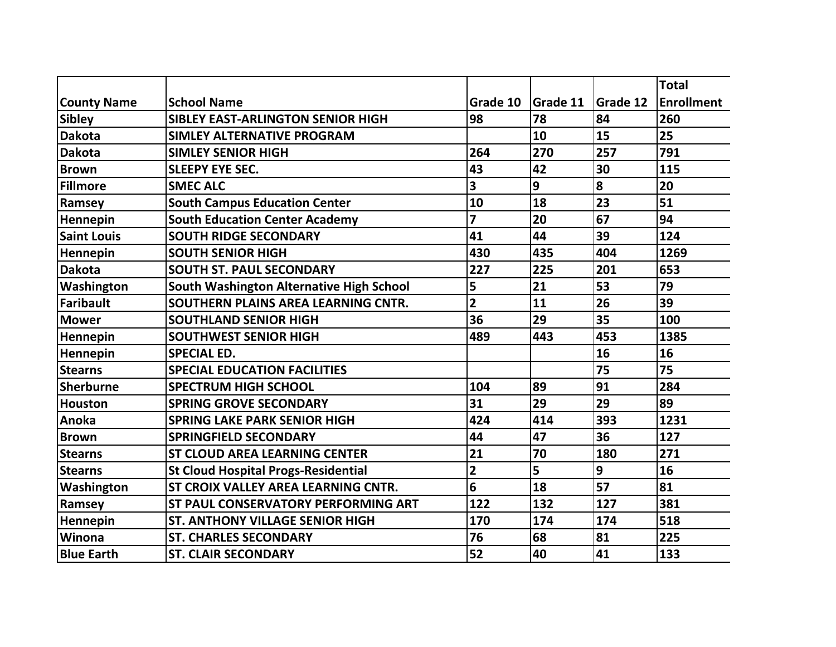|                    |                                            |                         |          |                 | <b>Total</b>      |
|--------------------|--------------------------------------------|-------------------------|----------|-----------------|-------------------|
| <b>County Name</b> | <b>School Name</b>                         | Grade 10                | Grade 11 | <b>Grade 12</b> | <b>Enrollment</b> |
| <b>Sibley</b>      | <b>SIBLEY EAST-ARLINGTON SENIOR HIGH</b>   | 98                      | 78       | 84              | 260               |
| <b>Dakota</b>      | <b>SIMLEY ALTERNATIVE PROGRAM</b>          |                         | 10       | 15              | 25                |
| <b>Dakota</b>      | <b>SIMLEY SENIOR HIGH</b>                  | 264                     | 270      | 257             | 791               |
| <b>Brown</b>       | <b>SLEEPY EYE SEC.</b>                     | 43                      | 42       | 30              | 115               |
| <b>Fillmore</b>    | <b>SMEC ALC</b>                            | 3                       | 9        | 8               | 20                |
| Ramsey             | <b>South Campus Education Center</b>       | 10                      | 18       | 23              | 51                |
| Hennepin           | <b>South Education Center Academy</b>      | $\overline{z}$          | 20       | 67              | 94                |
| <b>Saint Louis</b> | <b>SOUTH RIDGE SECONDARY</b>               | 41                      | 44       | 39              | 124               |
| Hennepin           | <b>SOUTH SENIOR HIGH</b>                   | 430                     | 435      | 404             | 1269              |
| <b>Dakota</b>      | <b>SOUTH ST. PAUL SECONDARY</b>            | 227                     | 225      | 201             | 653               |
| Washington         | South Washington Alternative High School   | 5                       | 21       | 53              | 79                |
| <b>Faribault</b>   | SOUTHERN PLAINS AREA LEARNING CNTR.        | $\overline{2}$          | 11       | 26              | 39                |
| <b>Mower</b>       | <b>SOUTHLAND SENIOR HIGH</b>               | 36                      | 29       | 35              | 100               |
| Hennepin           | <b>SOUTHWEST SENIOR HIGH</b>               | 489                     | 443      | 453             | 1385              |
| Hennepin           | <b>SPECIAL ED.</b>                         |                         |          | 16              | 16                |
| <b>Stearns</b>     | <b>SPECIAL EDUCATION FACILITIES</b>        |                         |          | 75              | 75                |
| <b>Sherburne</b>   | <b>SPECTRUM HIGH SCHOOL</b>                | 104                     | 89       | 91              | 284               |
| <b>Houston</b>     | <b>SPRING GROVE SECONDARY</b>              | 31                      | 29       | 29              | 89                |
| Anoka              | <b>SPRING LAKE PARK SENIOR HIGH</b>        | 424                     | 414      | 393             | 1231              |
| <b>Brown</b>       | <b>SPRINGFIELD SECONDARY</b>               | 44                      | 47       | 36              | 127               |
| <b>Stearns</b>     | <b>ST CLOUD AREA LEARNING CENTER</b>       | 21                      | 70       | 180             | 271               |
| <b>Stearns</b>     | <b>St Cloud Hospital Progs-Residential</b> | $\overline{\mathbf{c}}$ | 5        | $\overline{9}$  | 16                |
| Washington         | <b>ST CROIX VALLEY AREA LEARNING CNTR.</b> | 6                       | 18       | 57              | 81                |
| Ramsey             | <b>ST PAUL CONSERVATORY PERFORMING ART</b> | 122                     | 132      | 127             | 381               |
| Hennepin           | <b>ST. ANTHONY VILLAGE SENIOR HIGH</b>     | 170                     | 174      | 174             | 518               |
| Winona             | <b>ST. CHARLES SECONDARY</b>               | 76                      | 68       | 81              | 225               |
| <b>Blue Earth</b>  | <b>ST. CLAIR SECONDARY</b>                 | 52                      | 40       | 41              | 133               |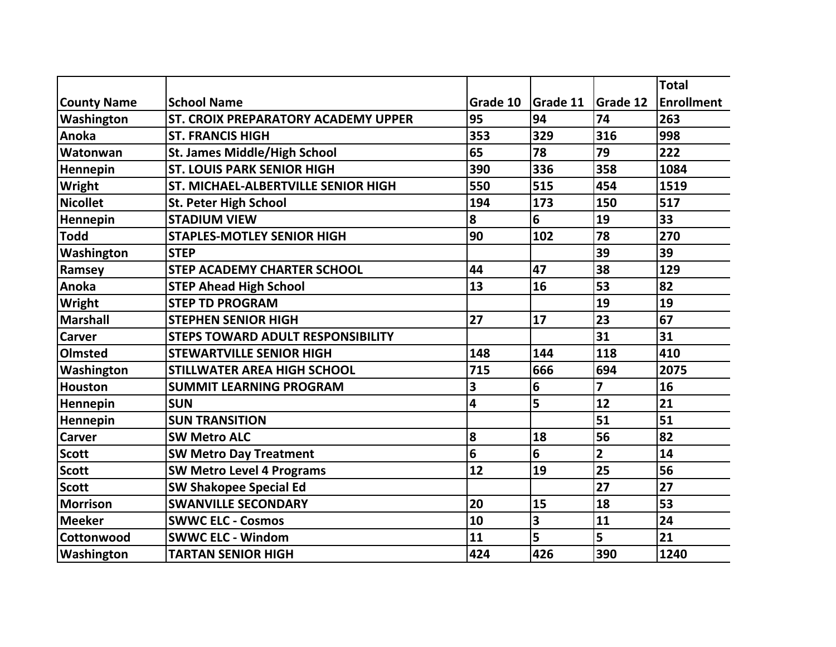|                    |                                          |          |          |                 | <b>Total</b>      |
|--------------------|------------------------------------------|----------|----------|-----------------|-------------------|
| <b>County Name</b> | <b>School Name</b>                       | Grade 10 | Grade 11 | <b>Grade 12</b> | <b>Enrollment</b> |
| Washington         | ST. CROIX PREPARATORY ACADEMY UPPER      | 95       | 94       | 74              | 263               |
| Anoka              | <b>ST. FRANCIS HIGH</b>                  | 353      | 329      | 316             | 998               |
| Watonwan           | <b>St. James Middle/High School</b>      | 65       | 78       | 79              | 222               |
| Hennepin           | <b>ST. LOUIS PARK SENIOR HIGH</b>        | 390      | 336      | 358             | 1084              |
| Wright             | ST. MICHAEL-ALBERTVILLE SENIOR HIGH      | 550      | 515      | 454             | 1519              |
| <b>Nicollet</b>    | <b>St. Peter High School</b>             | 194      | 173      | 150             | 517               |
| Hennepin           | <b>STADIUM VIEW</b>                      | 8        | 6        | 19              | 33                |
| <b>Todd</b>        | <b>STAPLES-MOTLEY SENIOR HIGH</b>        | 90       | 102      | 78              | 270               |
| Washington         | <b>STEP</b>                              |          |          | 39              | 39                |
| Ramsey             | <b>STEP ACADEMY CHARTER SCHOOL</b>       | 44       | 47       | 38              | 129               |
| Anoka              | <b>STEP Ahead High School</b>            | 13       | 16       | 53              | 82                |
| Wright             | <b>STEP TD PROGRAM</b>                   |          |          | 19              | 19                |
| <b>Marshall</b>    | <b>STEPHEN SENIOR HIGH</b>               | 27       | 17       | 23              | 67                |
| <b>Carver</b>      | <b>STEPS TOWARD ADULT RESPONSIBILITY</b> |          |          | 31              | 31                |
| Olmsted            | <b>STEWARTVILLE SENIOR HIGH</b>          | 148      | 144      | 118             | 410               |
| Washington         | <b>STILLWATER AREA HIGH SCHOOL</b>       | 715      | 666      | 694             | 2075              |
| <b>Houston</b>     | <b>SUMMIT LEARNING PROGRAM</b>           | 3        | 6        | 7               | 16                |
| Hennepin           | <b>SUN</b>                               | 4        | 5        | 12              | 21                |
| Hennepin           | <b>SUN TRANSITION</b>                    |          |          | 51              | 51                |
| <b>Carver</b>      | <b>SW Metro ALC</b>                      | 8        | 18       | 56              | 82                |
| Scott              | <b>SW Metro Day Treatment</b>            | 6        | 6        | $\overline{2}$  | 14                |
| <b>Scott</b>       | <b>SW Metro Level 4 Programs</b>         | 12       | 19       | 25              | 56                |
| <b>Scott</b>       | <b>SW Shakopee Special Ed</b>            |          |          | 27              | 27                |
| <b>Morrison</b>    | <b>SWANVILLE SECONDARY</b>               | 20       | 15       | 18              | 53                |
| <b>Meeker</b>      | <b>SWWC ELC - Cosmos</b>                 | 10       | 3        | 11              | 24                |
| Cottonwood         | <b>SWWC ELC - Windom</b>                 | 11       | 5        | 5               | 21                |
| Washington         | <b>TARTAN SENIOR HIGH</b>                | 424      | 426      | 390             | 1240              |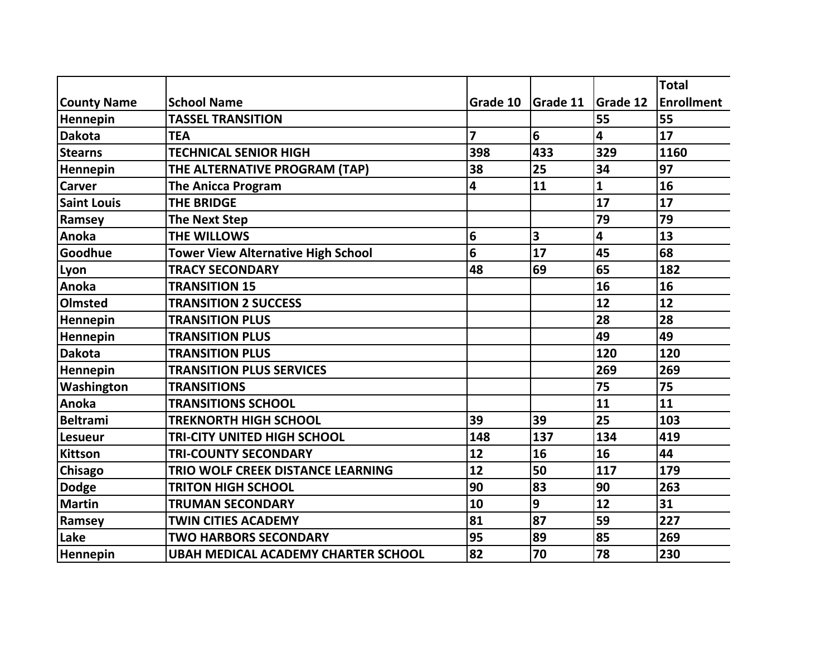|                    |                                            |                |                 |                 | <b>Total</b>      |
|--------------------|--------------------------------------------|----------------|-----------------|-----------------|-------------------|
| <b>County Name</b> | <b>School Name</b>                         | Grade 10       | <b>Grade 11</b> | <b>Grade 12</b> | <b>Enrollment</b> |
| Hennepin           | <b>TASSEL TRANSITION</b>                   |                |                 | 55              | 55                |
| <b>Dakota</b>      | <b>TEA</b>                                 | $\overline{z}$ | 6               | 4               | 17                |
| <b>Stearns</b>     | <b>TECHNICAL SENIOR HIGH</b>               | 398            | 433             | 329             | 1160              |
| Hennepin           | THE ALTERNATIVE PROGRAM (TAP)              | 38             | 25              | 34              | 97                |
| <b>Carver</b>      | <b>The Anicca Program</b>                  | 4              | 11              | $\mathbf{1}$    | 16                |
| <b>Saint Louis</b> | <b>THE BRIDGE</b>                          |                |                 | 17              | 17                |
| Ramsey             | <b>The Next Step</b>                       |                |                 | 79              | 79                |
| Anoka              | <b>THE WILLOWS</b>                         | 6              | 3               | 4               | 13                |
| Goodhue            | <b>Tower View Alternative High School</b>  | 6              | 17              | 45              | 68                |
| Lyon               | <b>TRACY SECONDARY</b>                     | 48             | 69              | 65              | 182               |
| Anoka              | <b>TRANSITION 15</b>                       |                |                 | 16              | 16                |
| <b>Olmsted</b>     | <b>TRANSITION 2 SUCCESS</b>                |                |                 | 12              | 12                |
| Hennepin           | <b>TRANSITION PLUS</b>                     |                |                 | 28              | 28                |
| Hennepin           | <b>TRANSITION PLUS</b>                     |                |                 | 49              | 49                |
| <b>Dakota</b>      | <b>TRANSITION PLUS</b>                     |                |                 | 120             | 120               |
| Hennepin           | <b>TRANSITION PLUS SERVICES</b>            |                |                 | 269             | 269               |
| Washington         | <b>TRANSITIONS</b>                         |                |                 | 75              | 75                |
| Anoka              | <b>TRANSITIONS SCHOOL</b>                  |                |                 | 11              | 11                |
| <b>Beltrami</b>    | <b>TREKNORTH HIGH SCHOOL</b>               | 39             | 39              | 25              | 103               |
| <b>Lesueur</b>     | <b>TRI-CITY UNITED HIGH SCHOOL</b>         | 148            | 137             | 134             | 419               |
| <b>Kittson</b>     | <b>TRI-COUNTY SECONDARY</b>                | 12             | 16              | 16              | 44                |
| Chisago            | <b>TRIO WOLF CREEK DISTANCE LEARNING</b>   | 12             | 50              | 117             | 179               |
| <b>Dodge</b>       | <b>TRITON HIGH SCHOOL</b>                  | 90             | 83              | 90              | 263               |
| <b>Martin</b>      | <b>TRUMAN SECONDARY</b>                    | 10             | 9               | 12              | 31                |
| Ramsey             | <b>TWIN CITIES ACADEMY</b>                 | 81             | 87              | 59              | 227               |
| Lake               | <b>TWO HARBORS SECONDARY</b>               | 95             | 89              | 85              | 269               |
| Hennepin           | <b>UBAH MEDICAL ACADEMY CHARTER SCHOOL</b> | 82             | 70              | 78              | 230               |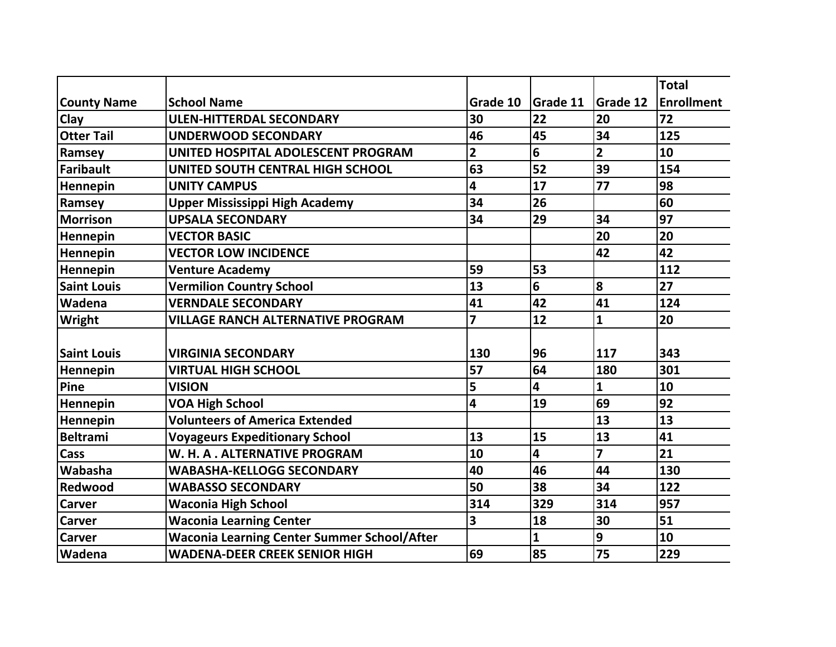|                    |                                                    |                         |                         |                 | <b>Total</b>      |
|--------------------|----------------------------------------------------|-------------------------|-------------------------|-----------------|-------------------|
| <b>County Name</b> | <b>School Name</b>                                 | Grade 10                | <b>Grade 11</b>         | <b>Grade 12</b> | <b>Enrollment</b> |
| Clay               | <b>ULEN-HITTERDAL SECONDARY</b>                    | 30                      | 22                      | 20              | 72                |
| <b>Otter Tail</b>  | <b>UNDERWOOD SECONDARY</b>                         | 46                      | 45                      | 34              | 125               |
| Ramsey             | UNITED HOSPITAL ADOLESCENT PROGRAM                 | $\overline{\mathbf{2}}$ | 6                       | $\overline{2}$  | 10                |
| <b>Faribault</b>   | UNITED SOUTH CENTRAL HIGH SCHOOL                   | 63                      | 52                      | 39              | 154               |
| Hennepin           | <b>UNITY CAMPUS</b>                                | 4                       | 17                      | 77              | 98                |
| Ramsey             | <b>Upper Mississippi High Academy</b>              | 34                      | 26                      |                 | 60                |
| <b>Morrison</b>    | <b>UPSALA SECONDARY</b>                            | 34                      | 29                      | 34              | 97                |
| Hennepin           | <b>VECTOR BASIC</b>                                |                         |                         | 20              | 20                |
| Hennepin           | <b>VECTOR LOW INCIDENCE</b>                        |                         |                         | 42              | 42                |
| Hennepin           | <b>Venture Academy</b>                             | 59                      | 53                      |                 | 112               |
| <b>Saint Louis</b> | <b>Vermilion Country School</b>                    | 13                      | 6                       | 8               | 27                |
| Wadena             | <b>VERNDALE SECONDARY</b>                          | 41                      | 42                      | 41              | 124               |
| Wright             | <b>VILLAGE RANCH ALTERNATIVE PROGRAM</b>           | $\overline{z}$          | 12                      | $\mathbf{1}$    | 20                |
|                    |                                                    |                         |                         |                 |                   |
| <b>Saint Louis</b> | <b>VIRGINIA SECONDARY</b>                          | 130                     | 96                      | 117             | 343               |
| Hennepin           | <b>VIRTUAL HIGH SCHOOL</b>                         | 57                      | 64                      | 180             | 301               |
| Pine               | <b>VISION</b>                                      | 5                       | $\overline{\mathbf{4}}$ | $\mathbf{1}$    | 10                |
| Hennepin           | <b>VOA High School</b>                             | 4                       | 19                      | 69              | 92                |
| Hennepin           | <b>Volunteers of America Extended</b>              |                         |                         | 13              | 13                |
| <b>Beltrami</b>    | <b>Voyageurs Expeditionary School</b>              | 13                      | 15                      | 13              | 41                |
| Cass               | W. H. A. ALTERNATIVE PROGRAM                       | 10                      | 4                       | $\overline{7}$  | 21                |
| Wabasha            | <b>WABASHA-KELLOGG SECONDARY</b>                   | 40                      | 46                      | 44              | 130               |
| Redwood            | <b>WABASSO SECONDARY</b>                           | 50                      | 38                      | 34              | 122               |
| <b>Carver</b>      | <b>Waconia High School</b>                         | 314                     | 329                     | 314             | 957               |
| Carver             | <b>Waconia Learning Center</b>                     | 3                       | 18                      | 30              | 51                |
| Carver             | <b>Waconia Learning Center Summer School/After</b> |                         | 1                       | 9               | 10                |
| Wadena             | <b>WADENA-DEER CREEK SENIOR HIGH</b>               | 69                      | 85                      | 75              | 229               |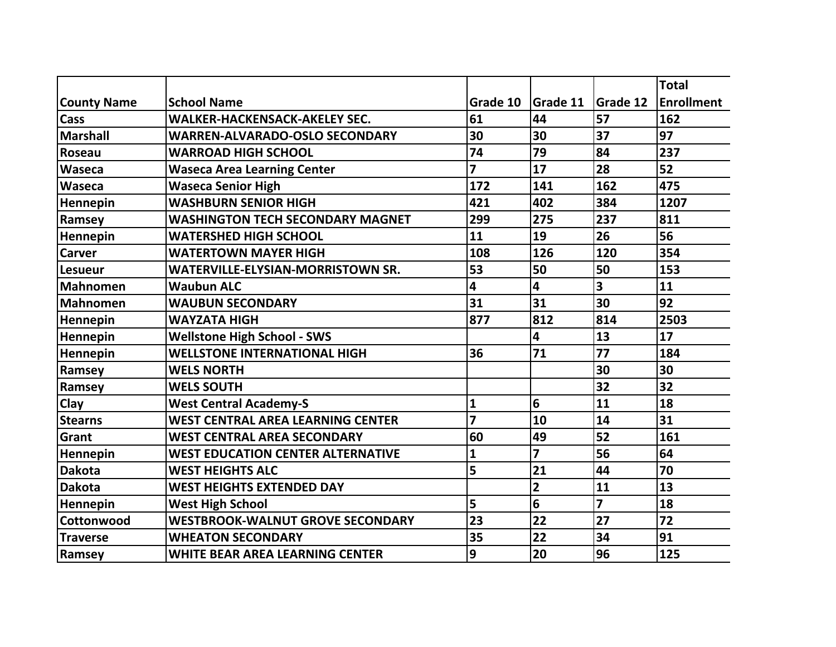|                    |                                          |                |                         |                         | <b>Total</b>      |
|--------------------|------------------------------------------|----------------|-------------------------|-------------------------|-------------------|
| <b>County Name</b> | <b>School Name</b>                       | Grade 10       | <b>Grade 11</b>         | <b>Grade 12</b>         | <b>Enrollment</b> |
| Cass               | <b>WALKER-HACKENSACK-AKELEY SEC.</b>     | 61             | 44                      | 57                      | 162               |
| <b>Marshall</b>    | <b>WARREN-ALVARADO-OSLO SECONDARY</b>    | 30             | 30                      | 37                      | 97                |
| Roseau             | <b>WARROAD HIGH SCHOOL</b>               | 74             | 79                      | 84                      | 237               |
| Waseca             | <b>Waseca Area Learning Center</b>       | 7              | 17                      | 28                      | 52                |
| Waseca             | <b>Waseca Senior High</b>                | 172            | 141                     | 162                     | 475               |
| Hennepin           | <b>WASHBURN SENIOR HIGH</b>              | 421            | 402                     | 384                     | 1207              |
| Ramsey             | <b>WASHINGTON TECH SECONDARY MAGNET</b>  | 299            | 275                     | 237                     | 811               |
| Hennepin           | <b>WATERSHED HIGH SCHOOL</b>             | 11             | 19                      | 26                      | 56                |
| Carver             | <b>WATERTOWN MAYER HIGH</b>              | 108            | 126                     | 120                     | 354               |
| <b>Lesueur</b>     | <b>WATERVILLE-ELYSIAN-MORRISTOWN SR.</b> | 53             | 50                      | 50                      | 153               |
| <b>Mahnomen</b>    | <b>Waubun ALC</b>                        | 4              | 4                       | 3                       | 11                |
| <b>Mahnomen</b>    | <b>WAUBUN SECONDARY</b>                  | 31             | 31                      | 30                      | 92                |
| Hennepin           | <b>WAYZATA HIGH</b>                      | 877            | 812                     | 814                     | 2503              |
| Hennepin           | <b>Wellstone High School - SWS</b>       |                | $\overline{\mathbf{4}}$ | 13                      | 17                |
| Hennepin           | <b>WELLSTONE INTERNATIONAL HIGH</b>      | 36             | 71                      | 77                      | 184               |
| Ramsey             | <b>WELS NORTH</b>                        |                |                         | 30                      | 30                |
| Ramsey             | <b>WELS SOUTH</b>                        |                |                         | 32                      | 32                |
| Clay               | <b>West Central Academy-S</b>            | 1              | 6                       | 11                      | 18                |
| <b>Stearns</b>     | <b>WEST CENTRAL AREA LEARNING CENTER</b> | $\overline{7}$ | 10                      | 14                      | 31                |
| Grant              | <b>WEST CENTRAL AREA SECONDARY</b>       | 60             | 49                      | 52                      | 161               |
| Hennepin           | <b>WEST EDUCATION CENTER ALTERNATIVE</b> | 1              | $\overline{z}$          | 56                      | 64                |
| <b>Dakota</b>      | <b>WEST HEIGHTS ALC</b>                  | 5              | 21                      | 44                      | 70                |
| <b>Dakota</b>      | <b>WEST HEIGHTS EXTENDED DAY</b>         |                | $\overline{2}$          | 11                      | 13                |
| Hennepin           | <b>West High School</b>                  | 5              | 6                       | $\overline{\mathbf{z}}$ | 18                |
| Cottonwood         | <b>WESTBROOK-WALNUT GROVE SECONDARY</b>  | 23             | 22                      | 27                      | 72                |
| <b>Traverse</b>    | <b>WHEATON SECONDARY</b>                 | 35             | 22                      | 34                      | 91                |
| Ramsey             | <b>WHITE BEAR AREA LEARNING CENTER</b>   | 9              | 20                      | 96                      | 125               |